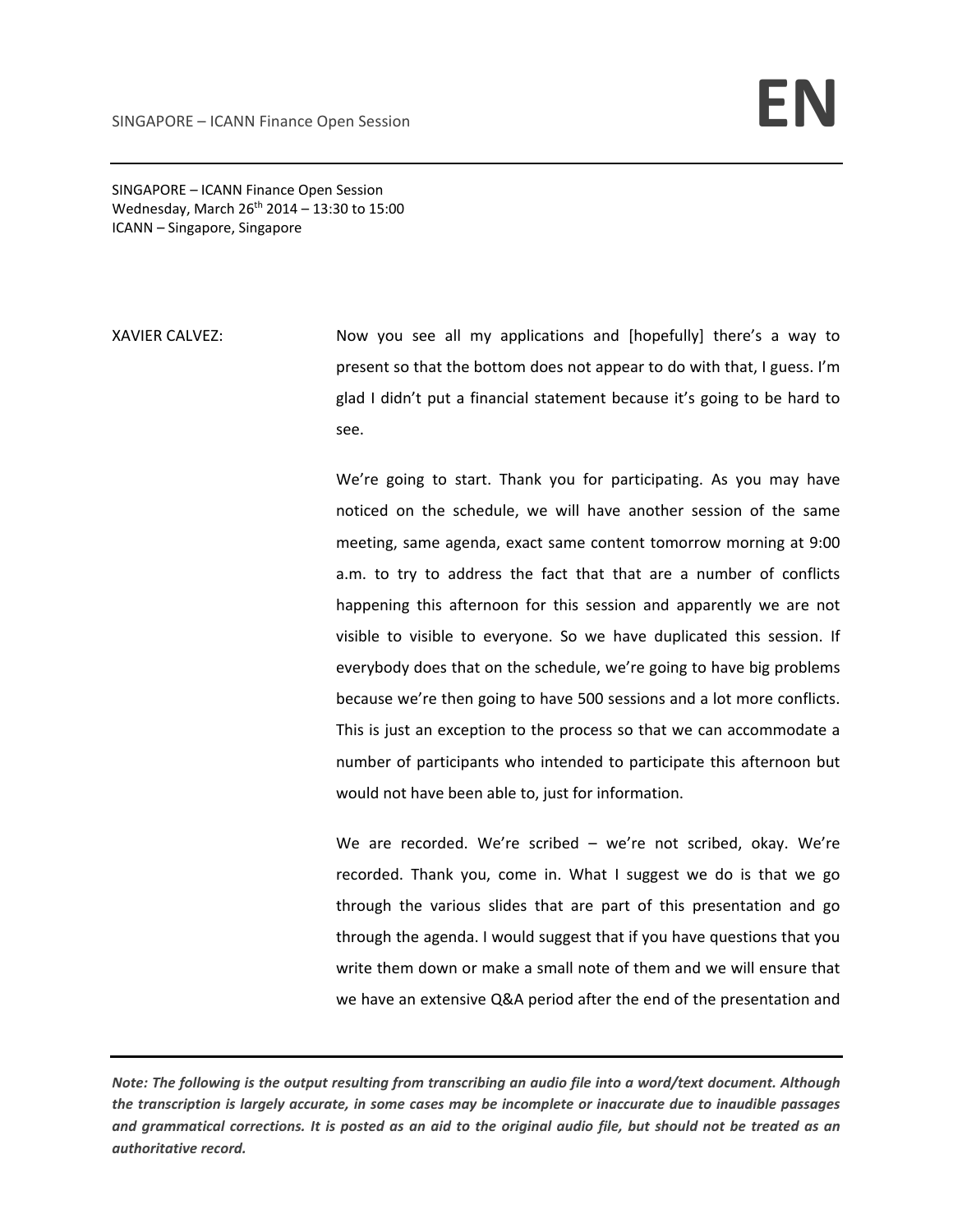SINGAPORE – ICANN Finance Open Session Wednesday, March  $26^{th}$  2014 – 13:30 to 15:00 ICANN – Singapore, Singapore

XAVIER CALVEZ: Now you see all my applications and [hopefully] there's a way to present so that the bottom does not appear to do with that, I guess. I'm glad I didn't put a financial statement because it's going to be hard to see.

> We're going to start. Thank you for participating. As you may have noticed on the schedule, we will have another session of the same meeting, same agenda, exact same content tomorrow morning at 9:00 a.m. to try to address the fact that that are a number of conflicts happening this afternoon for this session and apparently we are not visible to visible to everyone. So we have duplicated this session. If everybody does that on the schedule, we're going to have big problems because we're then going to have 500 sessions and a lot more conflicts. This is just an exception to the process so that we can accommodate a number of participants who intended to participate this afternoon but would not have been able to, just for information.

> We are recorded. We're scribed – we're not scribed, okay. We're recorded. Thank you, come in. What I suggest we do is that we go through the various slides that are part of this presentation and go through the agenda. I would suggest that if you have questions that you write them down or make a small note of them and we will ensure that we have an extensive Q&A period after the end of the presentation and

Note: The following is the output resulting from transcribing an audio file into a word/text document. Although the transcription is largely accurate, in some cases may be incomplete or inaccurate due to inaudible passages and grammatical corrections. It is posted as an aid to the original audio file, but should not be treated as an *authoritative record.*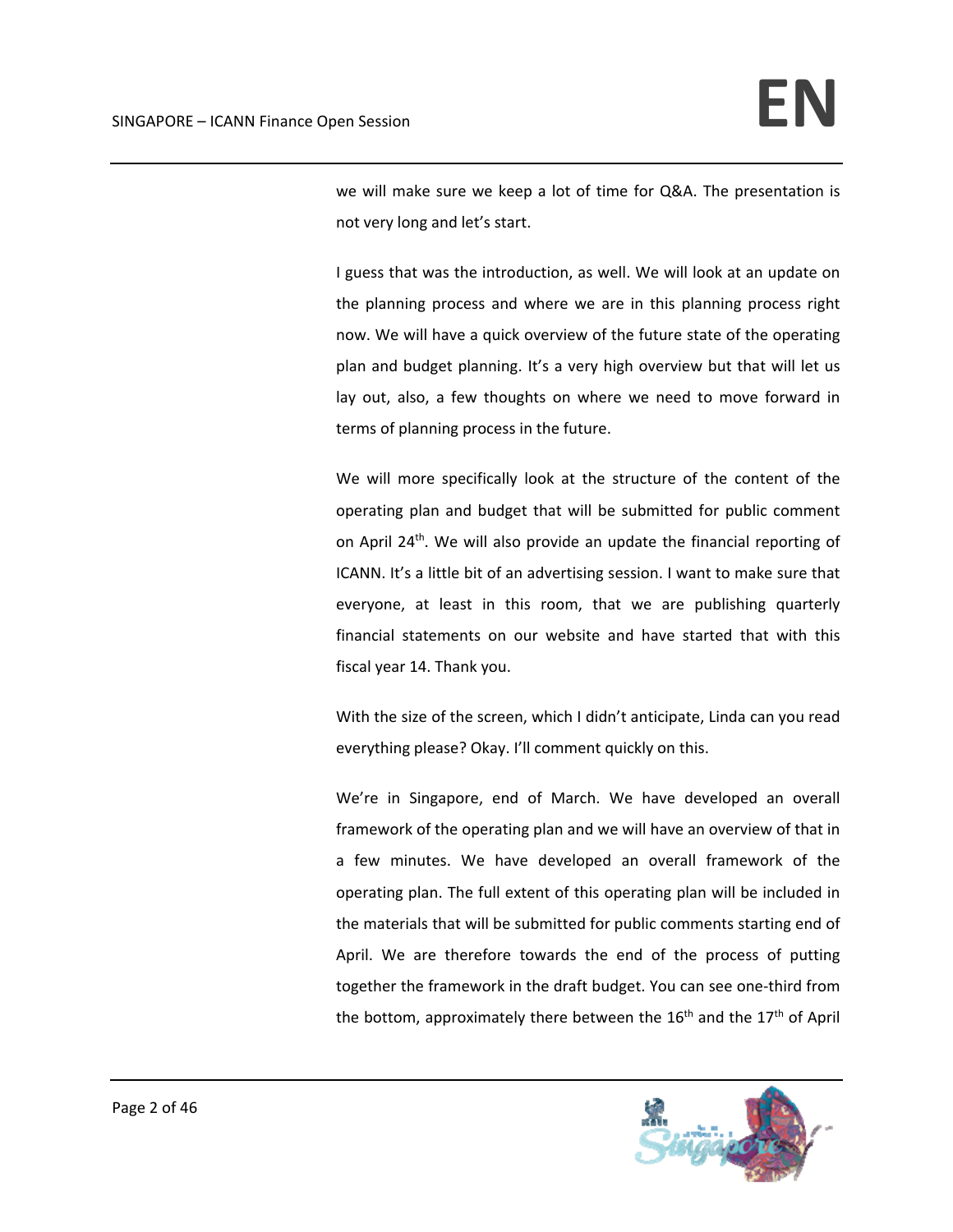we will make sure we keep a lot of time for Q&A. The presentation is not very long and let's start.

I guess that was the introduction, as well. We will look at an update on the planning process and where we are in this planning process right now. We will have a quick overview of the future state of the operating plan and budget planning. It's a very high overview but that will let us lay out, also, a few thoughts on where we need to move forward in terms of planning process in the future.

We will more specifically look at the structure of the content of the operating plan and budget that will be submitted for public comment on April 24th. We will also provide an update the financial reporting of ICANN. It's a little bit of an advertising session. I want to make sure that everyone, at least in this room, that we are publishing quarterly financial statements on our website and have started that with this fiscal year 14. Thank you.

With the size of the screen, which I didn't anticipate, Linda can you read everything please? Okay. I'll comment quickly on this.

We're in Singapore, end of March. We have developed an overall framework of the operating plan and we will have an overview of that in a few minutes. We have developed an overall framework of the operating plan. The full extent of this operating plan will be included in the materials that will be submitted for public comments starting end of April. We are therefore towards the end of the process of putting together the framework in the draft budget. You can see one‐third from the bottom, approximately there between the  $16<sup>th</sup>$  and the  $17<sup>th</sup>$  of April

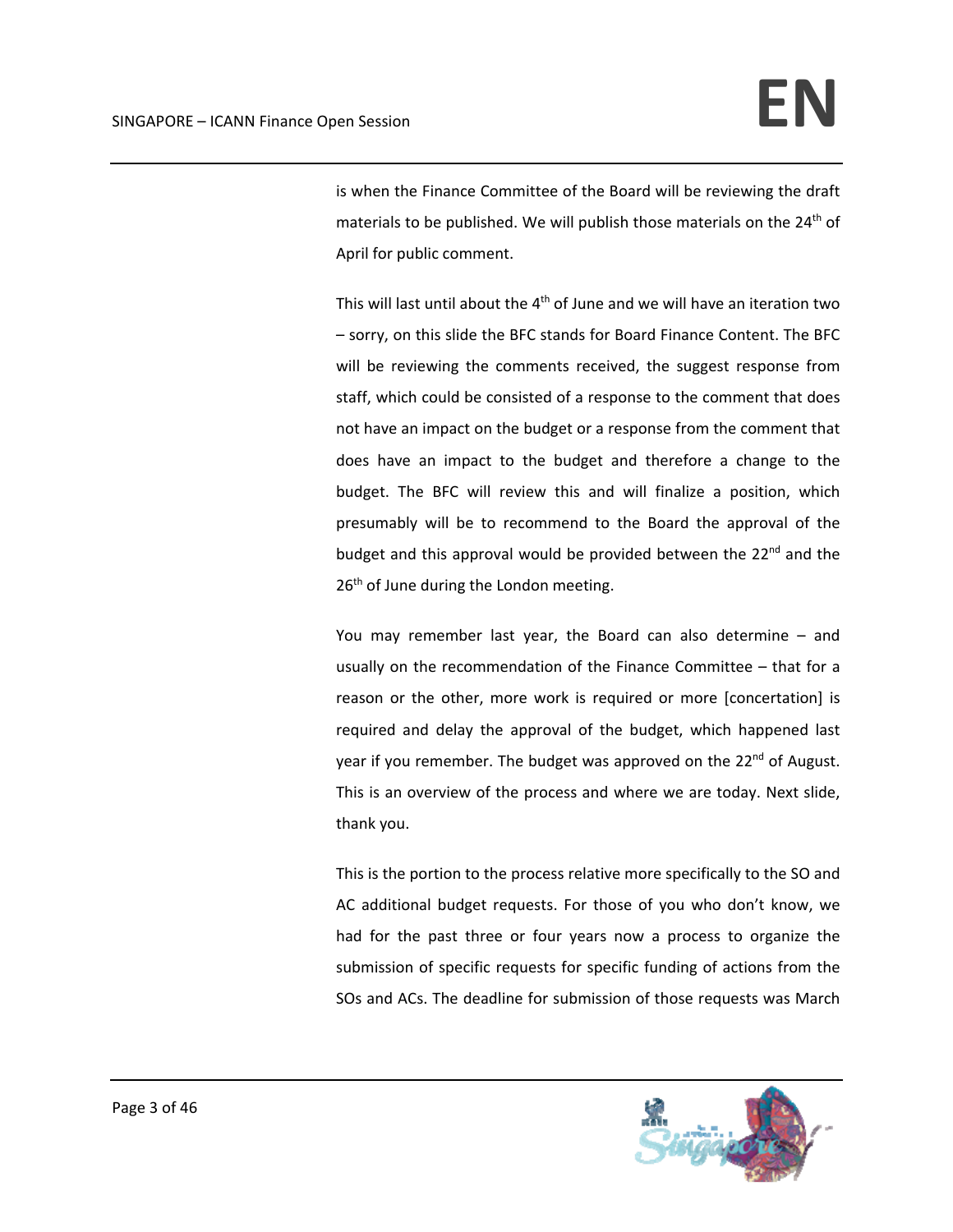is when the Finance Committee of the Board will be reviewing the draft materials to be published. We will publish those materials on the 24<sup>th</sup> of April for public comment.

This will last until about the  $4<sup>th</sup>$  of June and we will have an iteration two – sorry, on this slide the BFC stands for Board Finance Content. The BFC will be reviewing the comments received, the suggest response from staff, which could be consisted of a response to the comment that does not have an impact on the budget or a response from the comment that does have an impact to the budget and therefore a change to the budget. The BFC will review this and will finalize a position, which presumably will be to recommend to the Board the approval of the budget and this approval would be provided between the  $22<sup>nd</sup>$  and the 26<sup>th</sup> of June during the London meeting.

You may remember last year, the Board can also determine – and usually on the recommendation of the Finance Committee – that for a reason or the other, more work is required or more [concertation] is required and delay the approval of the budget, which happened last year if you remember. The budget was approved on the 22<sup>nd</sup> of August. This is an overview of the process and where we are today. Next slide, thank you.

This is the portion to the process relative more specifically to the SO and AC additional budget requests. For those of you who don't know, we had for the past three or four years now a process to organize the submission of specific requests for specific funding of actions from the SOs and ACs. The deadline for submission of those requests was March

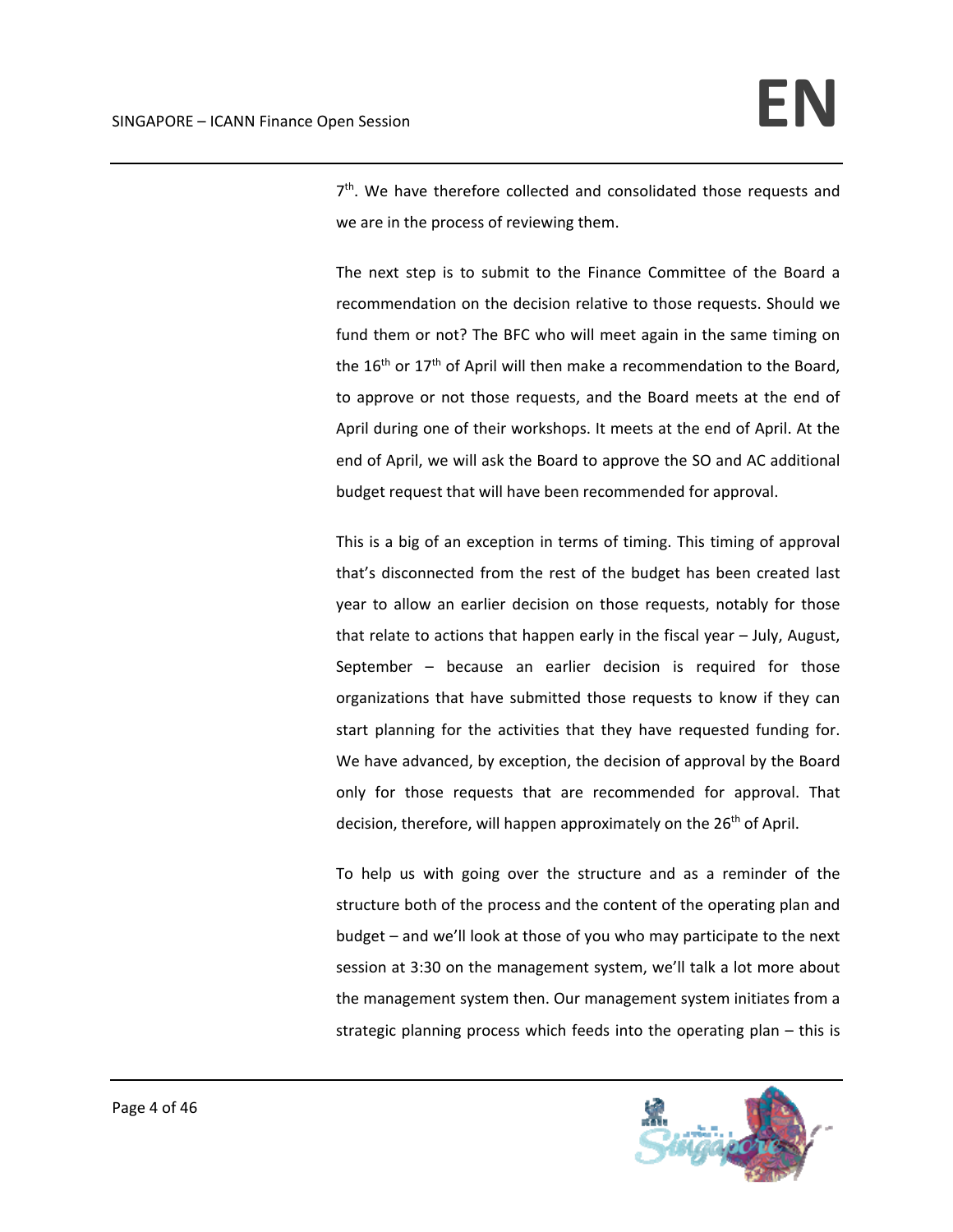$7<sup>th</sup>$ . We have therefore collected and consolidated those requests and we are in the process of reviewing them.

The next step is to submit to the Finance Committee of the Board a recommendation on the decision relative to those requests. Should we fund them or not? The BFC who will meet again in the same timing on the 16<sup>th</sup> or 17<sup>th</sup> of April will then make a recommendation to the Board, to approve or not those requests, and the Board meets at the end of April during one of their workshops. It meets at the end of April. At the end of April, we will ask the Board to approve the SO and AC additional budget request that will have been recommended for approval.

This is a big of an exception in terms of timing. This timing of approval that's disconnected from the rest of the budget has been created last year to allow an earlier decision on those requests, notably for those that relate to actions that happen early in the fiscal year – July, August, September – because an earlier decision is required for those organizations that have submitted those requests to know if they can start planning for the activities that they have requested funding for. We have advanced, by exception, the decision of approval by the Board only for those requests that are recommended for approval. That decision, therefore, will happen approximately on the 26<sup>th</sup> of April.

To help us with going over the structure and as a reminder of the structure both of the process and the content of the operating plan and budget – and we'll look at those of you who may participate to the next session at 3:30 on the management system, we'll talk a lot more about the management system then. Our management system initiates from a strategic planning process which feeds into the operating plan – this is

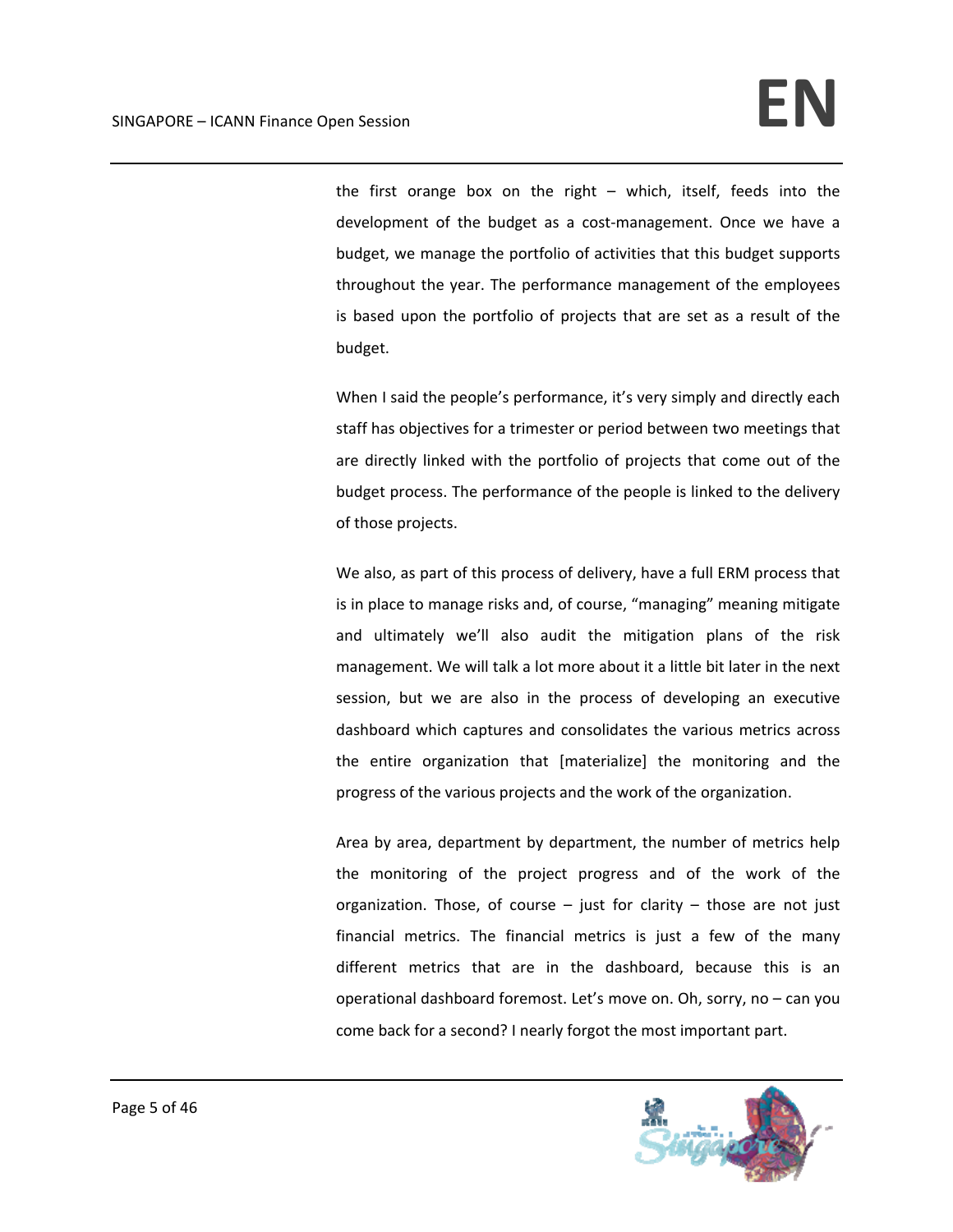the first orange box on the right – which, itself, feeds into the development of the budget as a cost-management. Once we have a budget, we manage the portfolio of activities that this budget supports throughout the year. The performance management of the employees is based upon the portfolio of projects that are set as a result of the budget.

When I said the people's performance, it's very simply and directly each staff has objectives for a trimester or period between two meetings that are directly linked with the portfolio of projects that come out of the budget process. The performance of the people is linked to the delivery of those projects.

We also, as part of this process of delivery, have a full ERM process that is in place to manage risks and, of course, "managing" meaning mitigate and ultimately we'll also audit the mitigation plans of the risk management. We will talk a lot more about it a little bit later in the next session, but we are also in the process of developing an executive dashboard which captures and consolidates the various metrics across the entire organization that [materialize] the monitoring and the progress of the various projects and the work of the organization.

Area by area, department by department, the number of metrics help the monitoring of the project progress and of the work of the organization. Those, of course  $-$  just for clarity  $-$  those are not just financial metrics. The financial metrics is just a few of the many different metrics that are in the dashboard, because this is an operational dashboard foremost. Let's move on. Oh, sorry, no – can you come back for a second? I nearly forgot the most important part.

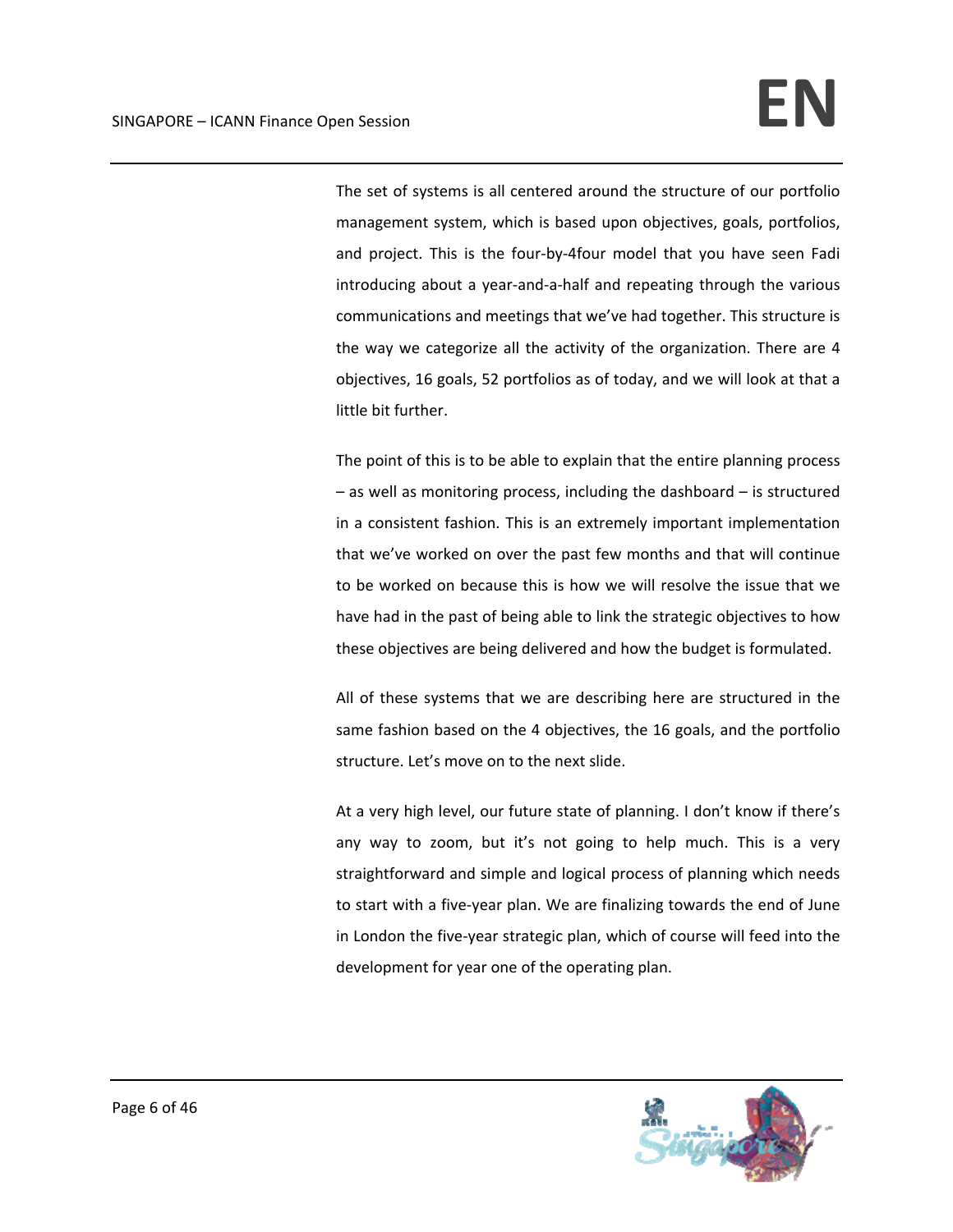The set of systems is all centered around the structure of our portfolio management system, which is based upon objectives, goals, portfolios, and project. This is the four‐by‐4four model that you have seen Fadi introducing about a year‐and‐a‐half and repeating through the various communications and meetings that we've had together. This structure is the way we categorize all the activity of the organization. There are 4 objectives, 16 goals, 52 portfolios as of today, and we will look at that a little bit further.

The point of this is to be able to explain that the entire planning process – as well as monitoring process, including the dashboard – is structured in a consistent fashion. This is an extremely important implementation that we've worked on over the past few months and that will continue to be worked on because this is how we will resolve the issue that we have had in the past of being able to link the strategic objectives to how these objectives are being delivered and how the budget is formulated.

All of these systems that we are describing here are structured in the same fashion based on the 4 objectives, the 16 goals, and the portfolio structure. Let's move on to the next slide.

At a very high level, our future state of planning. I don't know if there's any way to zoom, but it's not going to help much. This is a very straightforward and simple and logical process of planning which needs to start with a five‐year plan. We are finalizing towards the end of June in London the five‐year strategic plan, which of course will feed into the development for year one of the operating plan.

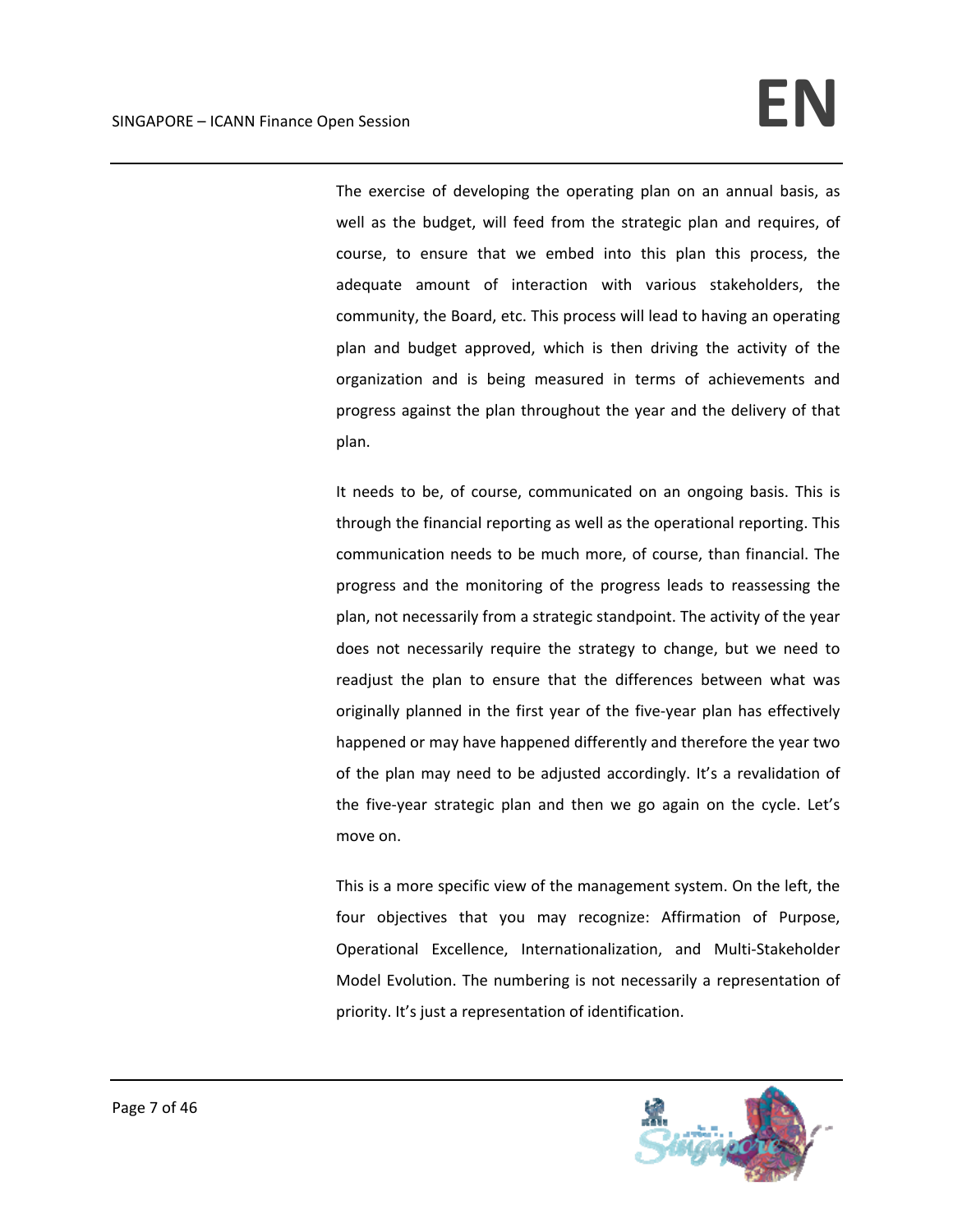The exercise of developing the operating plan on an annual basis, as well as the budget, will feed from the strategic plan and requires, of course, to ensure that we embed into this plan this process, the adequate amount of interaction with various stakeholders, the community, the Board, etc. This process will lead to having an operating plan and budget approved, which is then driving the activity of the organization and is being measured in terms of achievements and progress against the plan throughout the year and the delivery of that plan.

It needs to be, of course, communicated on an ongoing basis. This is through the financial reporting as well as the operational reporting. This communication needs to be much more, of course, than financial. The progress and the monitoring of the progress leads to reassessing the plan, not necessarily from a strategic standpoint. The activity of the year does not necessarily require the strategy to change, but we need to readjust the plan to ensure that the differences between what was originally planned in the first year of the five‐year plan has effectively happened or may have happened differently and therefore the year two of the plan may need to be adjusted accordingly. It's a revalidation of the five‐year strategic plan and then we go again on the cycle. Let's move on.

This is a more specific view of the management system. On the left, the four objectives that you may recognize: Affirmation of Purpose, Operational Excellence, Internationalization, and Multi‐Stakeholder Model Evolution. The numbering is not necessarily a representation of priority. It's just a representation of identification.

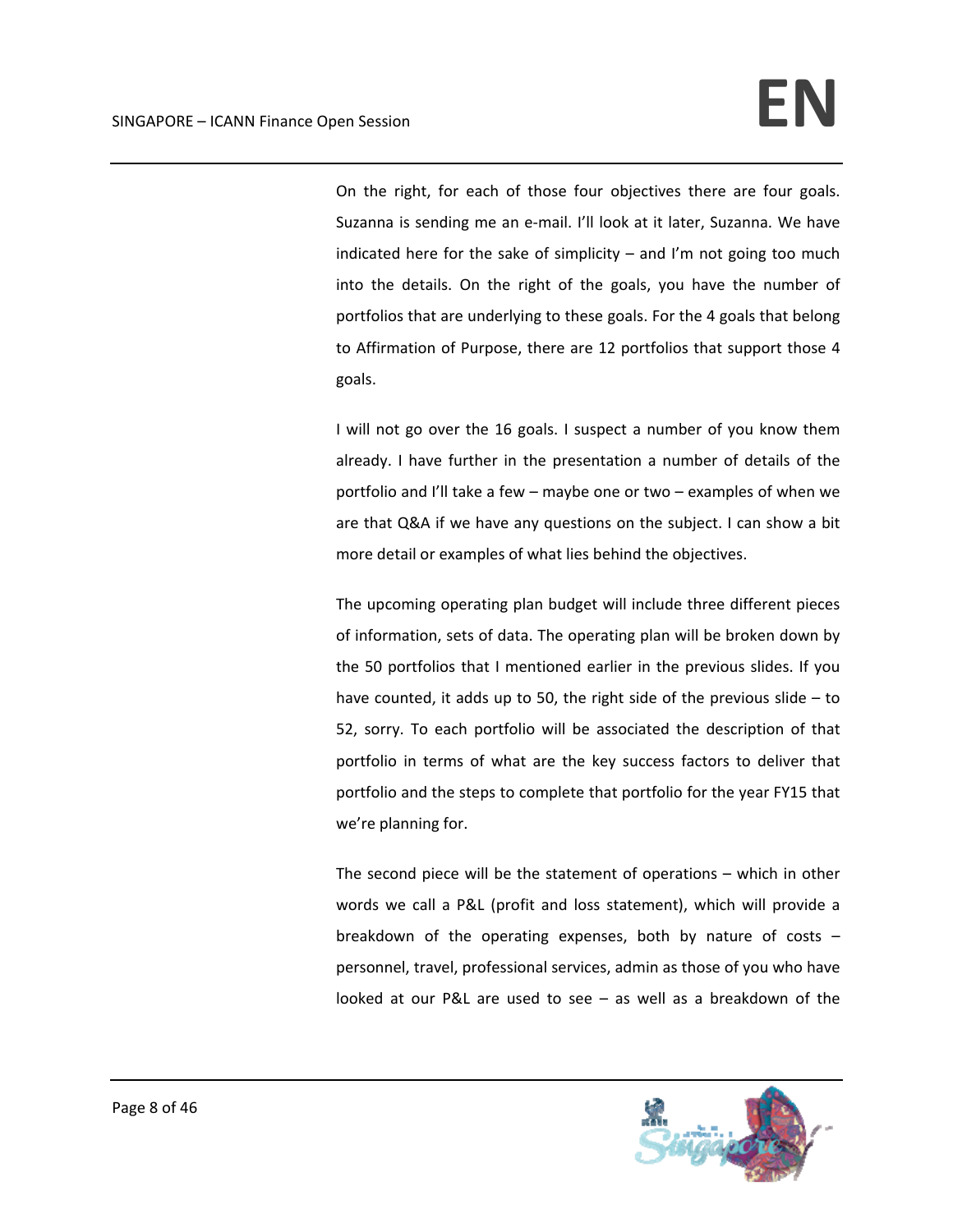On the right, for each of those four objectives there are four goals. Suzanna is sending me an e‐mail. I'll look at it later, Suzanna. We have indicated here for the sake of simplicity  $-$  and I'm not going too much into the details. On the right of the goals, you have the number of portfolios that are underlying to these goals. For the 4 goals that belong to Affirmation of Purpose, there are 12 portfolios that support those 4 goals.

I will not go over the 16 goals. I suspect a number of you know them already. I have further in the presentation a number of details of the portfolio and I'll take a few – maybe one or two – examples of when we are that Q&A if we have any questions on the subject. I can show a bit more detail or examples of what lies behind the objectives.

The upcoming operating plan budget will include three different pieces of information, sets of data. The operating plan will be broken down by the 50 portfolios that I mentioned earlier in the previous slides. If you have counted, it adds up to 50, the right side of the previous slide – to 52, sorry. To each portfolio will be associated the description of that portfolio in terms of what are the key success factors to deliver that portfolio and the steps to complete that portfolio for the year FY15 that we're planning for.

The second piece will be the statement of operations – which in other words we call a P&L (profit and loss statement), which will provide a breakdown of the operating expenses, both by nature of costs – personnel, travel, professional services, admin as those of you who have looked at our P&L are used to see – as well as a breakdown of the

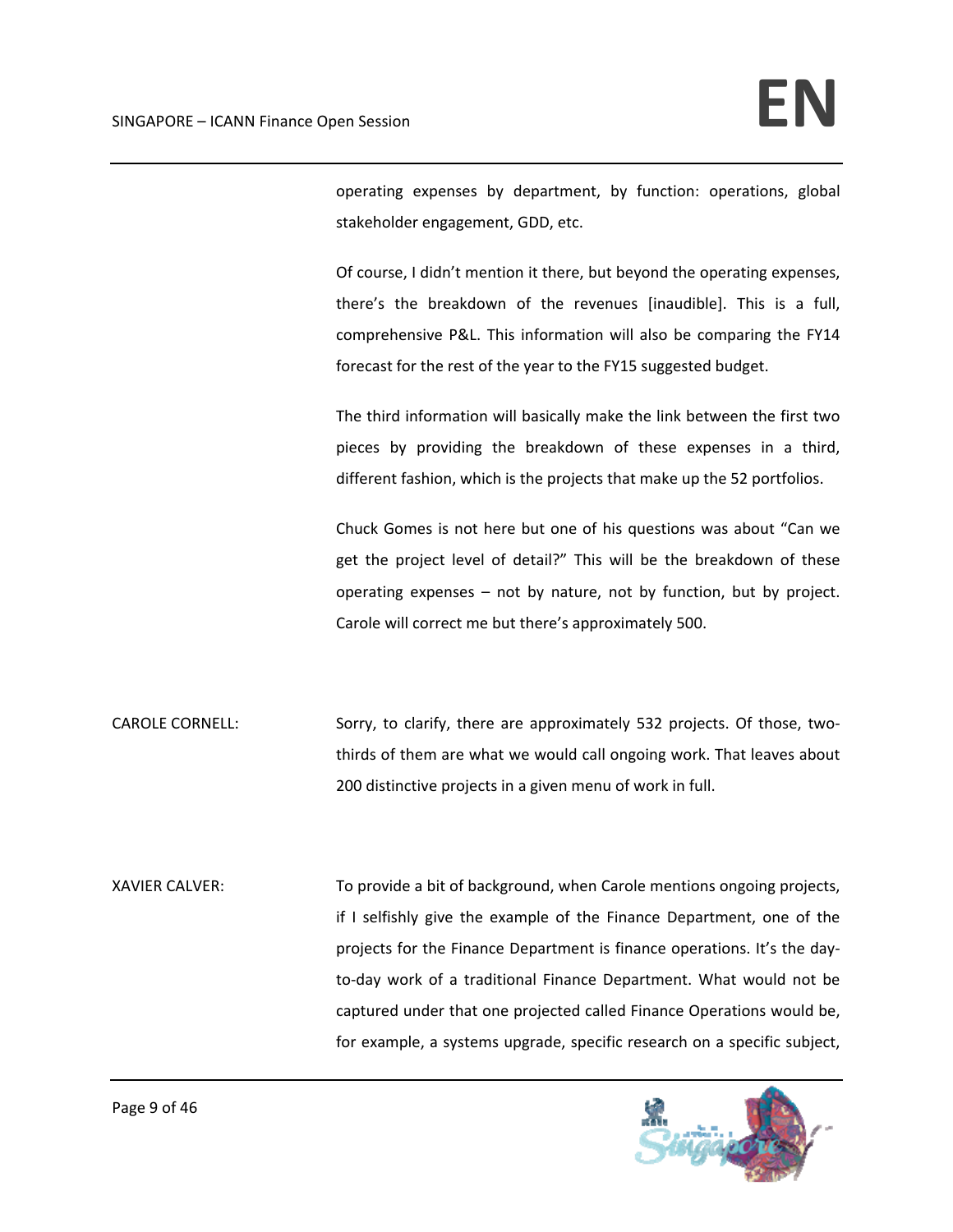operating expenses by department, by function: operations, global stakeholder engagement, GDD, etc.

Of course, I didn't mention it there, but beyond the operating expenses, there's the breakdown of the revenues [inaudible]. This is a full, comprehensive P&L. This information will also be comparing the FY14 forecast for the rest of the year to the FY15 suggested budget.

The third information will basically make the link between the first two pieces by providing the breakdown of these expenses in a third, different fashion, which is the projects that make up the 52 portfolios.

Chuck Gomes is not here but one of his questions was about "Can we get the project level of detail?" This will be the breakdown of these operating expenses – not by nature, not by function, but by project. Carole will correct me but there's approximately 500.

CAROLE CORNELL: Sorry, to clarify, there are approximately 532 projects. Of those, twothirds of them are what we would call ongoing work. That leaves about 200 distinctive projects in a given menu of work in full.

XAVIER CALVER: To provide a bit of background, when Carole mentions ongoing projects, if I selfishly give the example of the Finance Department, one of the projects for the Finance Department is finance operations. It's the day‐ to-day work of a traditional Finance Department. What would not be captured under that one projected called Finance Operations would be, for example, a systems upgrade, specific research on a specific subject,

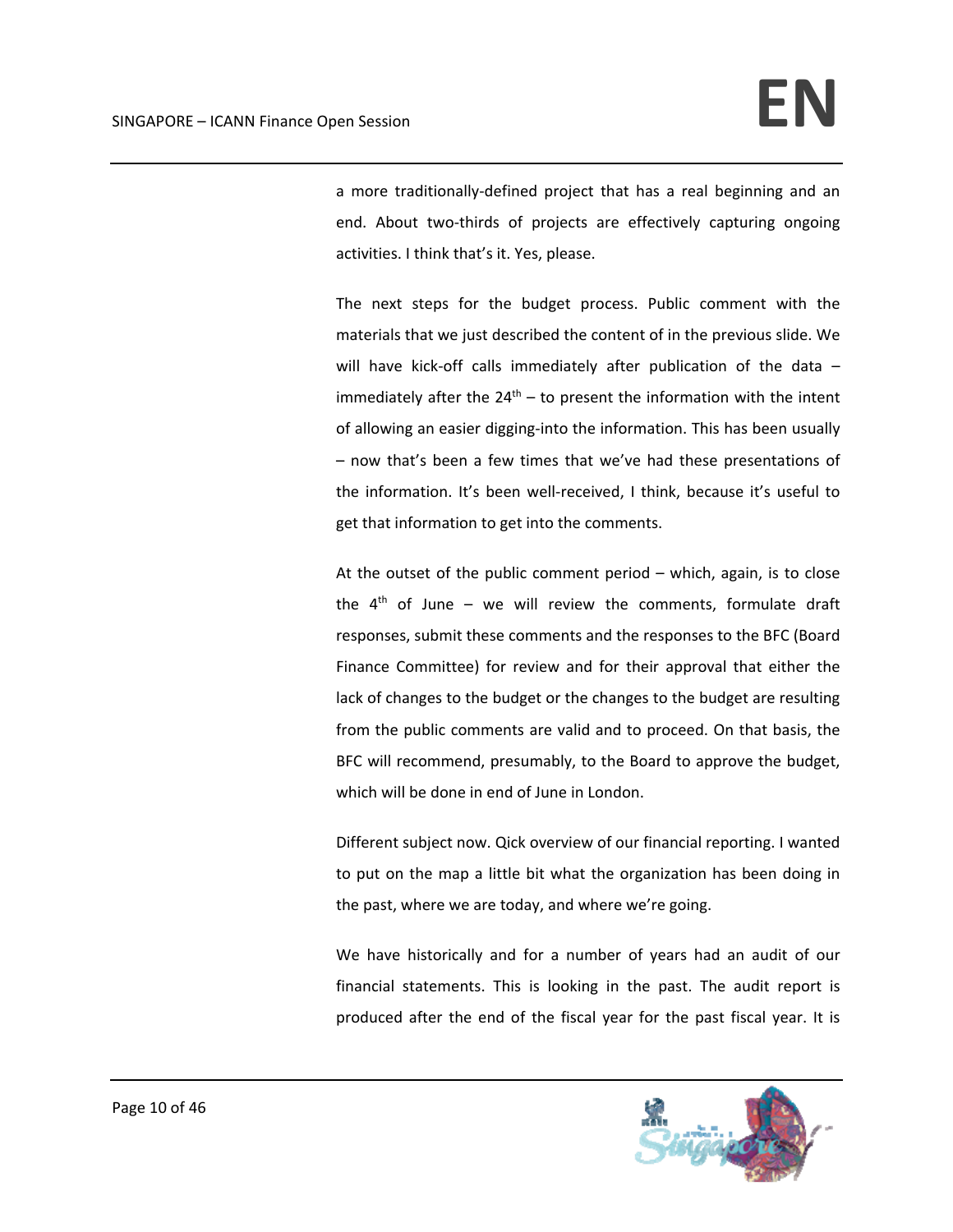a more traditionally‐defined project that has a real beginning and an end. About two-thirds of projects are effectively capturing ongoing activities. I think that's it. Yes, please.

The next steps for the budget process. Public comment with the materials that we just described the content of in the previous slide. We will have kick-off calls immediately after publication of the data immediately after the  $24^{th}$  – to present the information with the intent of allowing an easier digging‐into the information. This has been usually – now that's been a few times that we've had these presentations of the information. It's been well‐received, I think, because it's useful to get that information to get into the comments.

At the outset of the public comment period – which, again, is to close the  $4<sup>th</sup>$  of June – we will review the comments, formulate draft responses, submit these comments and the responses to the BFC (Board Finance Committee) for review and for their approval that either the lack of changes to the budget or the changes to the budget are resulting from the public comments are valid and to proceed. On that basis, the BFC will recommend, presumably, to the Board to approve the budget, which will be done in end of June in London.

Different subject now. Qick overview of our financial reporting. I wanted to put on the map a little bit what the organization has been doing in the past, where we are today, and where we're going.

We have historically and for a number of years had an audit of our financial statements. This is looking in the past. The audit report is produced after the end of the fiscal year for the past fiscal year. It is

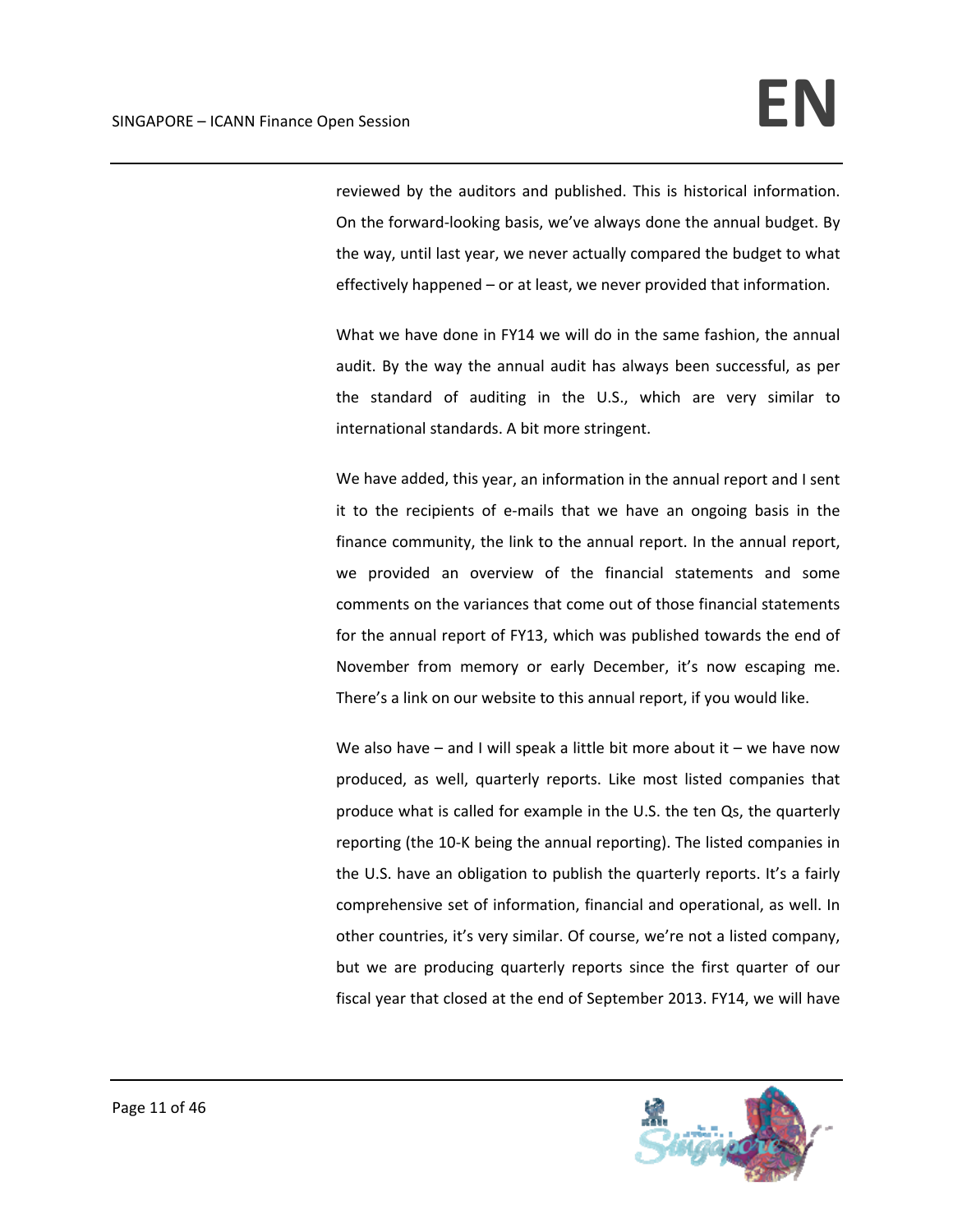reviewed by the auditors and published. This is historical information. On the forward‐looking basis, we've always done the annual budget. By the way, until last year, we never actually compared the budget to what effectively happened – or at least, we never provided that information.

What we have done in FY14 we will do in the same fashion, the annual audit. By the way the annual audit has always been successful, as per the standard of auditing in the U.S., which are very similar to international standards. A bit more stringent.

We have added, this year, an information in the annual report and I sent it to the recipients of e‐mails that we have an ongoing basis in the finance community, the link to the annual report. In the annual report, we provided an overview of the financial statements and some comments on the variances that come out of those financial statements for the annual report of FY13, which was published towards the end of November from memory or early December, it's now escaping me. There's a link on our website to this annual report, if you would like.

We also have  $-$  and I will speak a little bit more about it  $-$  we have now produced, as well, quarterly reports. Like most listed companies that produce what is called for example in the U.S. the ten Qs, the quarterly reporting (the 10‐K being the annual reporting). The listed companies in the U.S. have an obligation to publish the quarterly reports. It's a fairly comprehensive set of information, financial and operational, as well. In other countries, it's very similar. Of course, we're not a listed company, but we are producing quarterly reports since the first quarter of our fiscal year that closed at the end of September 2013. FY14, we will have

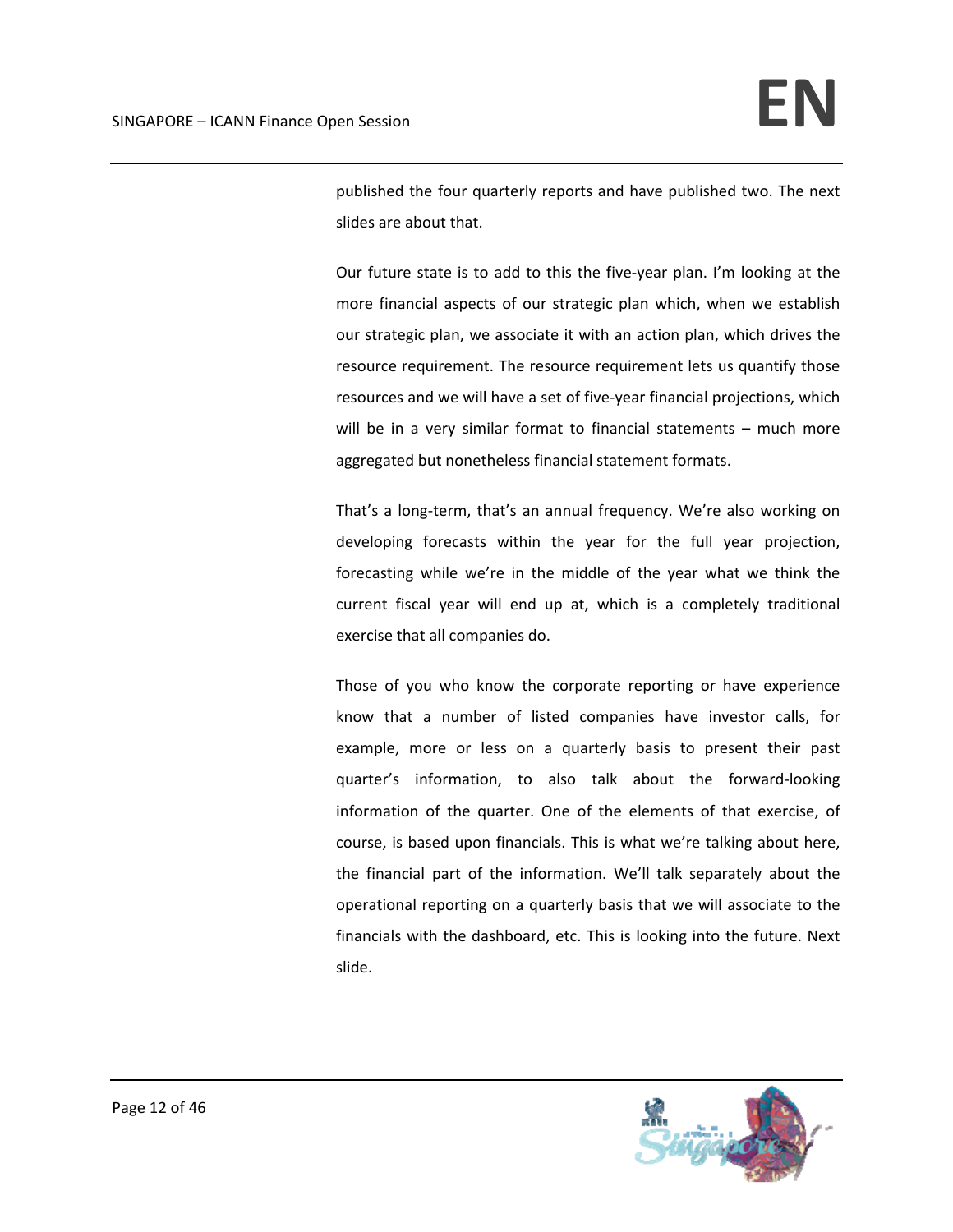published the four quarterly reports and have published two. The next slides are about that.

Our future state is to add to this the five‐year plan. I'm looking at the more financial aspects of our strategic plan which, when we establish our strategic plan, we associate it with an action plan, which drives the resource requirement. The resource requirement lets us quantify those resources and we will have a set of five‐year financial projections, which will be in a very similar format to financial statements – much more aggregated but nonetheless financial statement formats.

That's a long-term, that's an annual frequency. We're also working on developing forecasts within the year for the full year projection, forecasting while we're in the middle of the year what we think the current fiscal year will end up at, which is a completely traditional exercise that all companies do.

Those of you who know the corporate reporting or have experience know that a number of listed companies have investor calls, for example, more or less on a quarterly basis to present their past quarter's information, to also talk about the forward‐looking information of the quarter. One of the elements of that exercise, of course, is based upon financials. This is what we're talking about here, the financial part of the information. We'll talk separately about the operational reporting on a quarterly basis that we will associate to the financials with the dashboard, etc. This is looking into the future. Next slide.

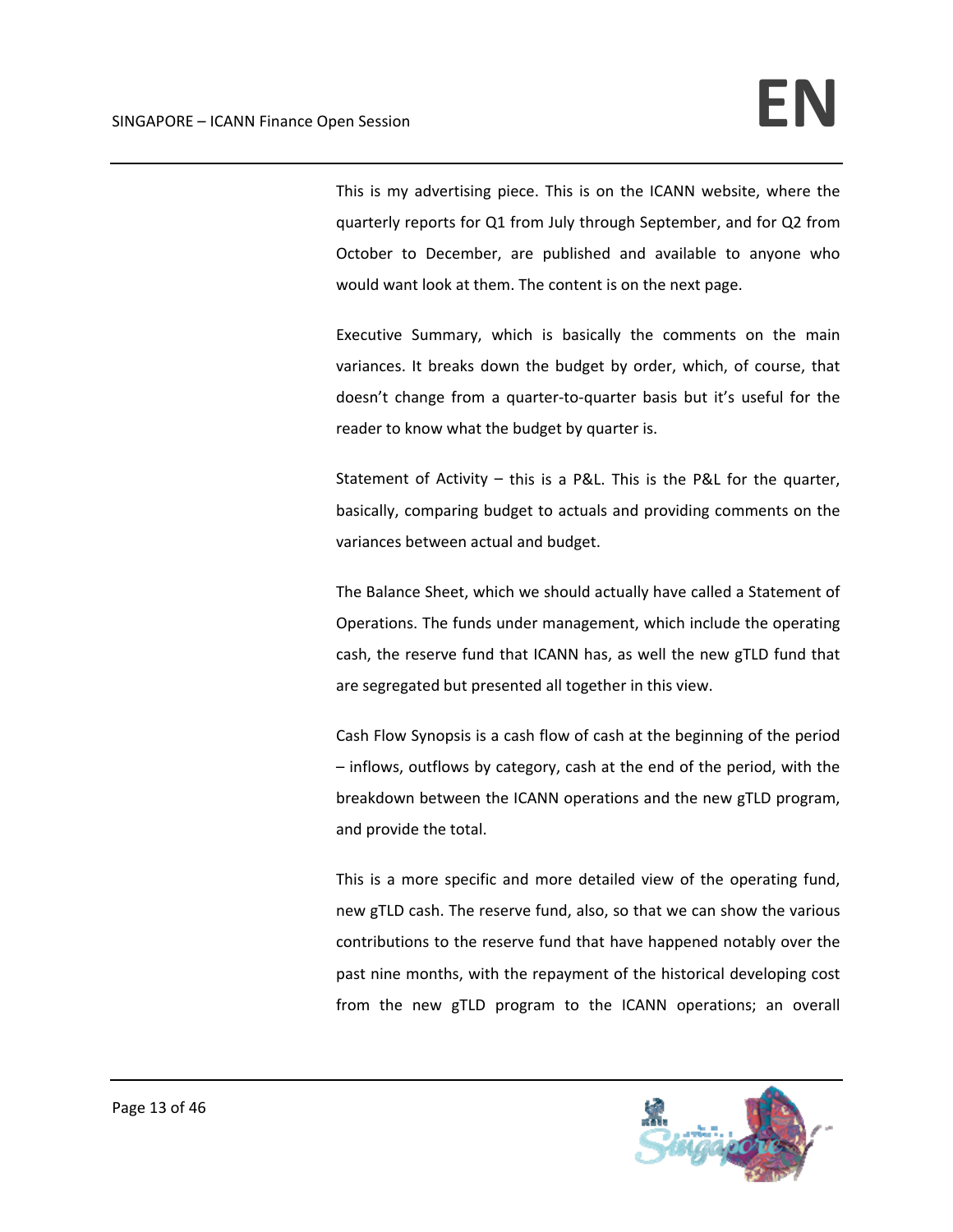This is my advertising piece. This is on the ICANN website, where the quarterly reports for Q1 from July through September, and for Q2 from October to December, are published and available to anyone who would want look at them. The content is on the next page.

Executive Summary, which is basically the comments on the main variances. It breaks down the budget by order, which, of course, that doesn't change from a quarter‐to‐quarter basis but it's useful for the reader to know what the budget by quarter is.

Statement of Activity – this is a P&L. This is the P&L for the quarter, basically, comparing budget to actuals and providing comments on the variances between actual and budget.

The Balance Sheet, which we should actually have called a Statement of Operations. The funds under management, which include the operating cash, the reserve fund that ICANN has, as well the new gTLD fund that are segregated but presented all together in this view.

Cash Flow Synopsis is a cash flow of cash at the beginning of the period – inflows, outflows by category, cash at the end of the period, with the breakdown between the ICANN operations and the new gTLD program, and provide the total.

This is a more specific and more detailed view of the operating fund, new gTLD cash. The reserve fund, also, so that we can show the various contributions to the reserve fund that have happened notably over the past nine months, with the repayment of the historical developing cost from the new gTLD program to the ICANN operations; an overall

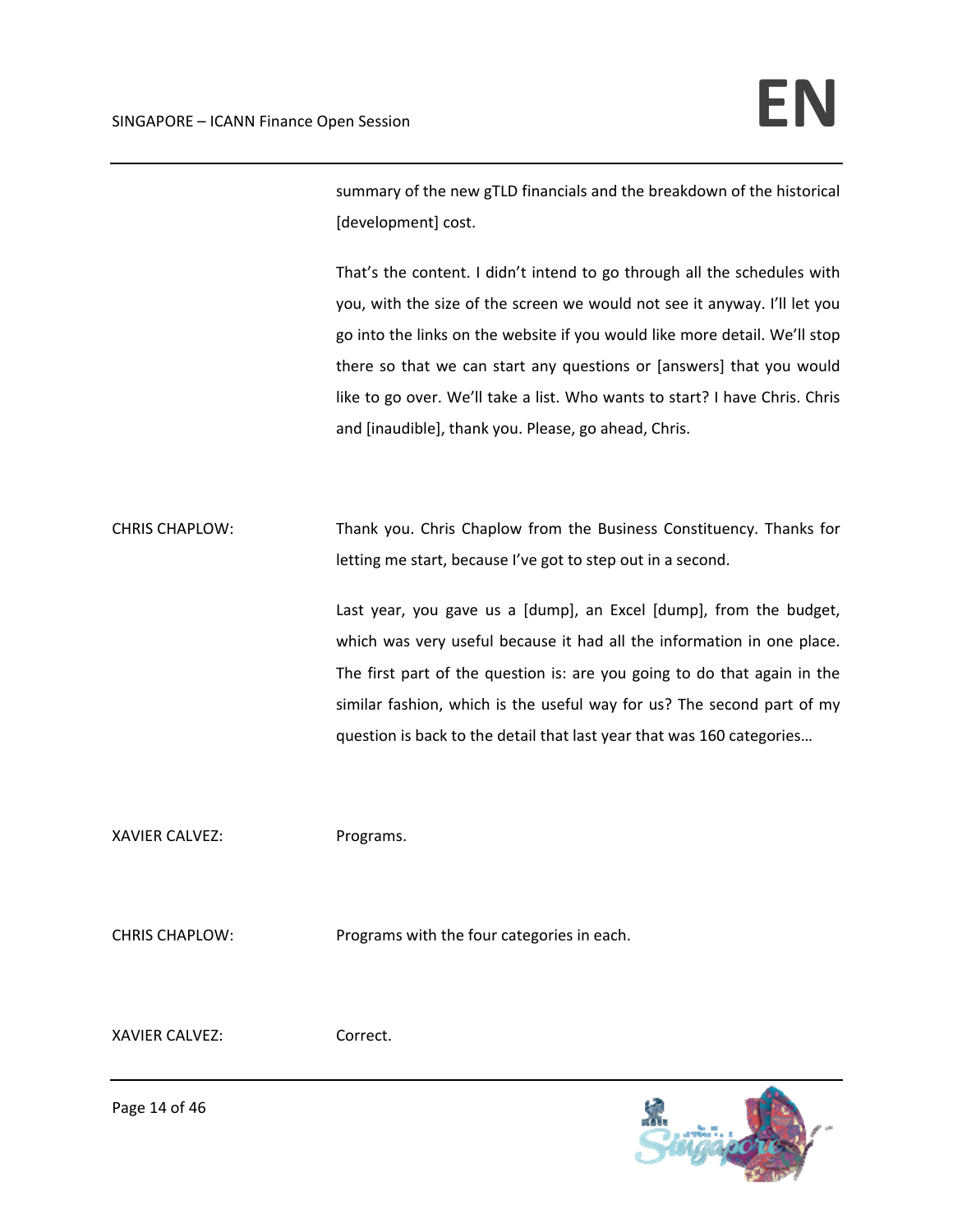summary of the new gTLD financials and the breakdown of the historical [development] cost.

That's the content. I didn't intend to go through all the schedules with you, with the size of the screen we would not see it anyway. I'll let you go into the links on the website if you would like more detail. We'll stop there so that we can start any questions or [answers] that you would like to go over. We'll take a list. Who wants to start? I have Chris. Chris and [inaudible], thank you. Please, go ahead, Chris.

CHRIS CHAPLOW: Thank you. Chris Chaplow from the Business Constituency. Thanks for letting me start, because I've got to step out in a second.

> Last year, you gave us a [dump], an Excel [dump], from the budget, which was very useful because it had all the information in one place. The first part of the question is: are you going to do that again in the similar fashion, which is the useful way for us? The second part of my question is back to the detail that last year that was 160 categories…

XAVIER CALVEZ: Programs.

CHRIS CHAPLOW: Programs with the four categories in each.

XAVIER CALVEZ: Correct.



Page 14 of 46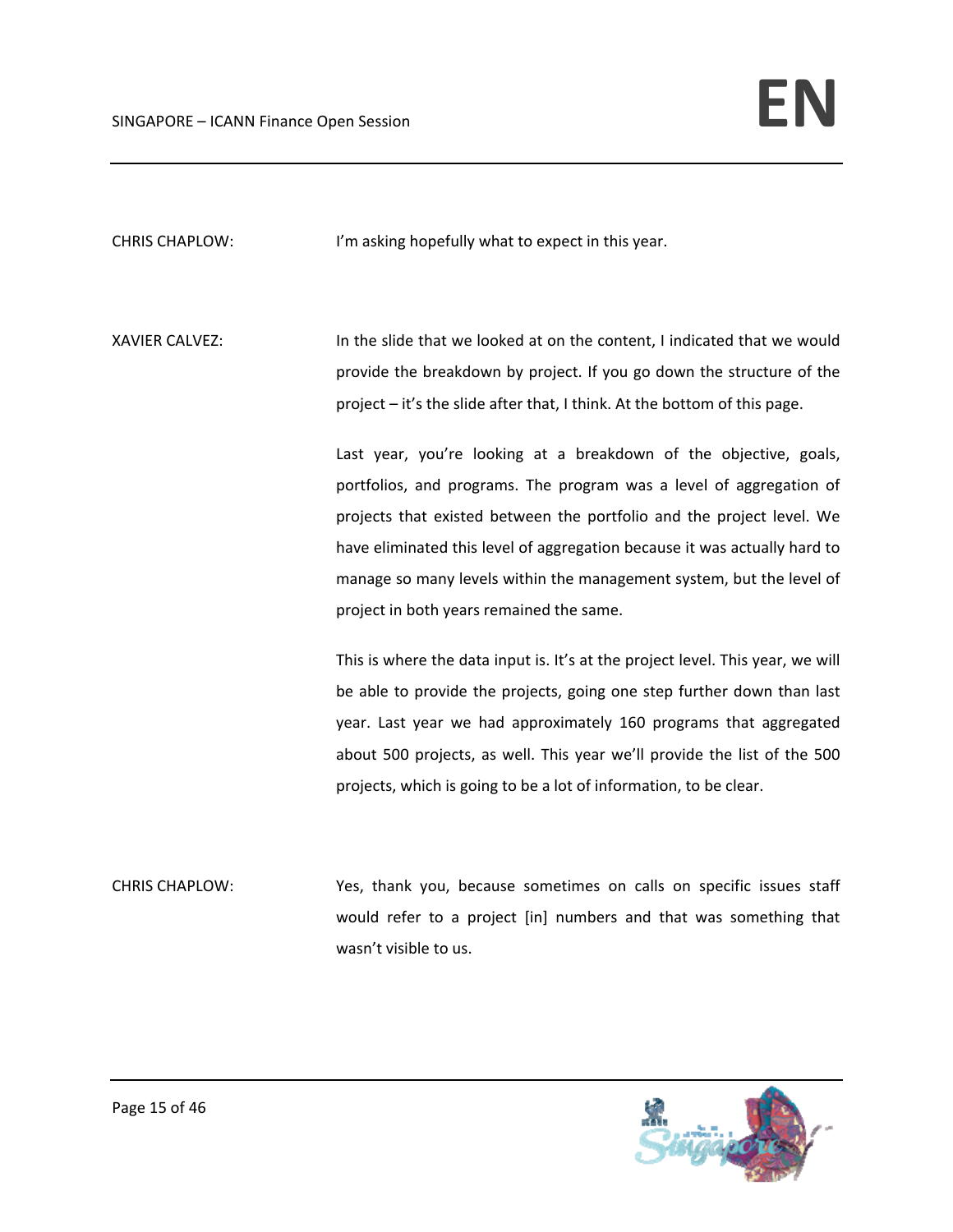CHRIS CHAPLOW: I'm asking hopefully what to expect in this year.

XAVIER CALVEZ: In the slide that we looked at on the content, I indicated that we would provide the breakdown by project. If you go down the structure of the project – it's the slide after that, I think. At the bottom of this page.

> Last year, you're looking at a breakdown of the objective, goals, portfolios, and programs. The program was a level of aggregation of projects that existed between the portfolio and the project level. We have eliminated this level of aggregation because it was actually hard to manage so many levels within the management system, but the level of project in both years remained the same.

> This is where the data input is. It's at the project level. This year, we will be able to provide the projects, going one step further down than last year. Last year we had approximately 160 programs that aggregated about 500 projects, as well. This year we'll provide the list of the 500 projects, which is going to be a lot of information, to be clear.

CHRIS CHAPLOW: Yes, thank you, because sometimes on calls on specific issues staff would refer to a project [in] numbers and that was something that wasn't visible to us.

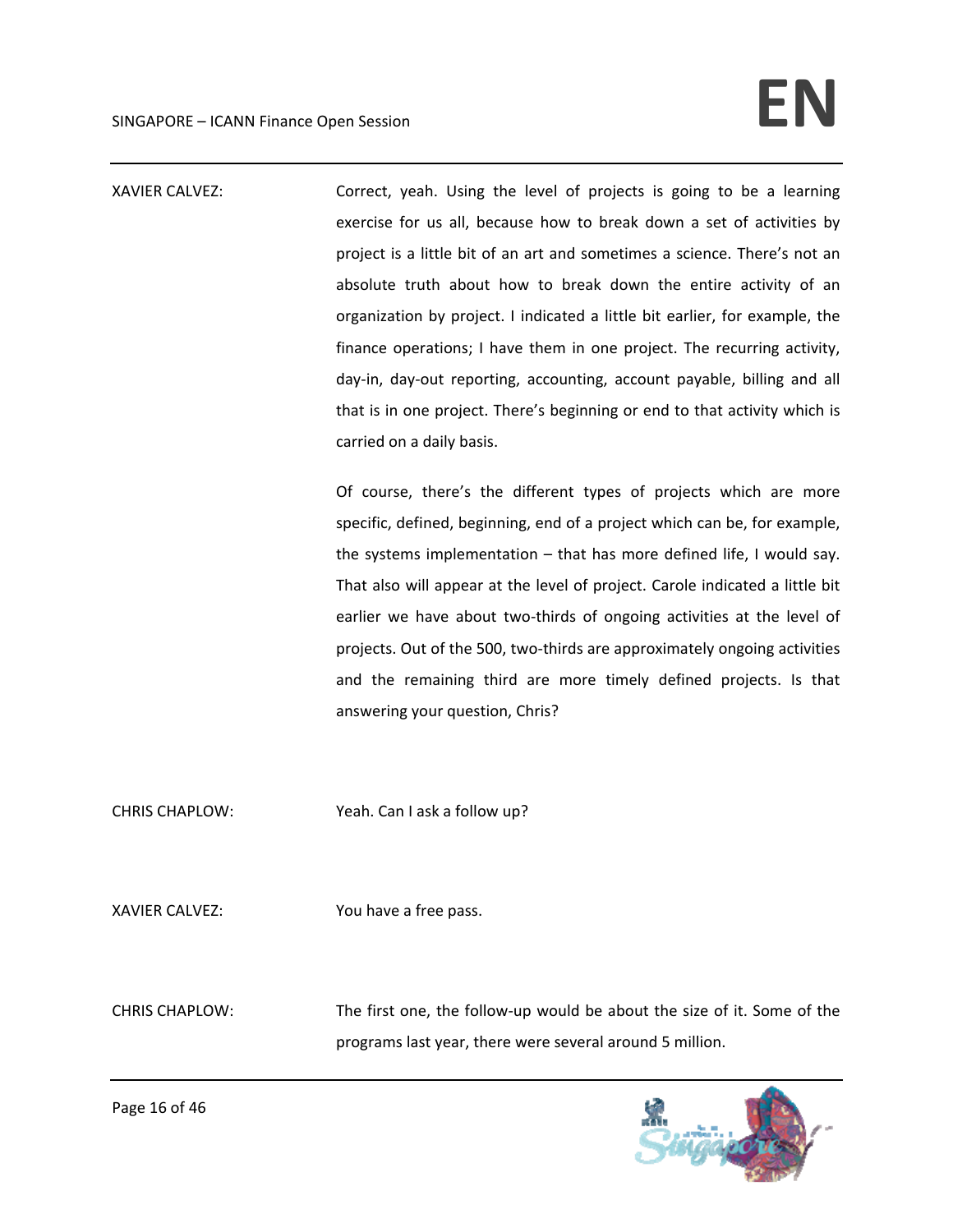## SINGAPORE – ICANN Finance Open Session **EN**

XAVIER CALVEZ: Correct, yeah. Using the level of projects is going to be a learning exercise for us all, because how to break down a set of activities by project is a little bit of an art and sometimes a science. There's not an absolute truth about how to break down the entire activity of an organization by project. I indicated a little bit earlier, for example, the finance operations; I have them in one project. The recurring activity, day‐in, day‐out reporting, accounting, account payable, billing and all that is in one project. There's beginning or end to that activity which is carried on a daily basis. Of course, there's the different types of projects which are more specific, defined, beginning, end of a project which can be, for example, the systems implementation – that has more defined life, I would say. That also will appear at the level of project. Carole indicated a little bit earlier we have about two-thirds of ongoing activities at the level of projects. Out of the 500, two‐thirds are approximately ongoing activities and the remaining third are more timely defined projects. Is that answering your question, Chris? CHRIS CHAPLOW: Yeah. Can I ask a follow up? XAVIER CALVEZ: You have a free pass. CHRIS CHAPLOW: The first one, the follow‐up would be about the size of it. Some of the

programs last year, there were several around 5 million.

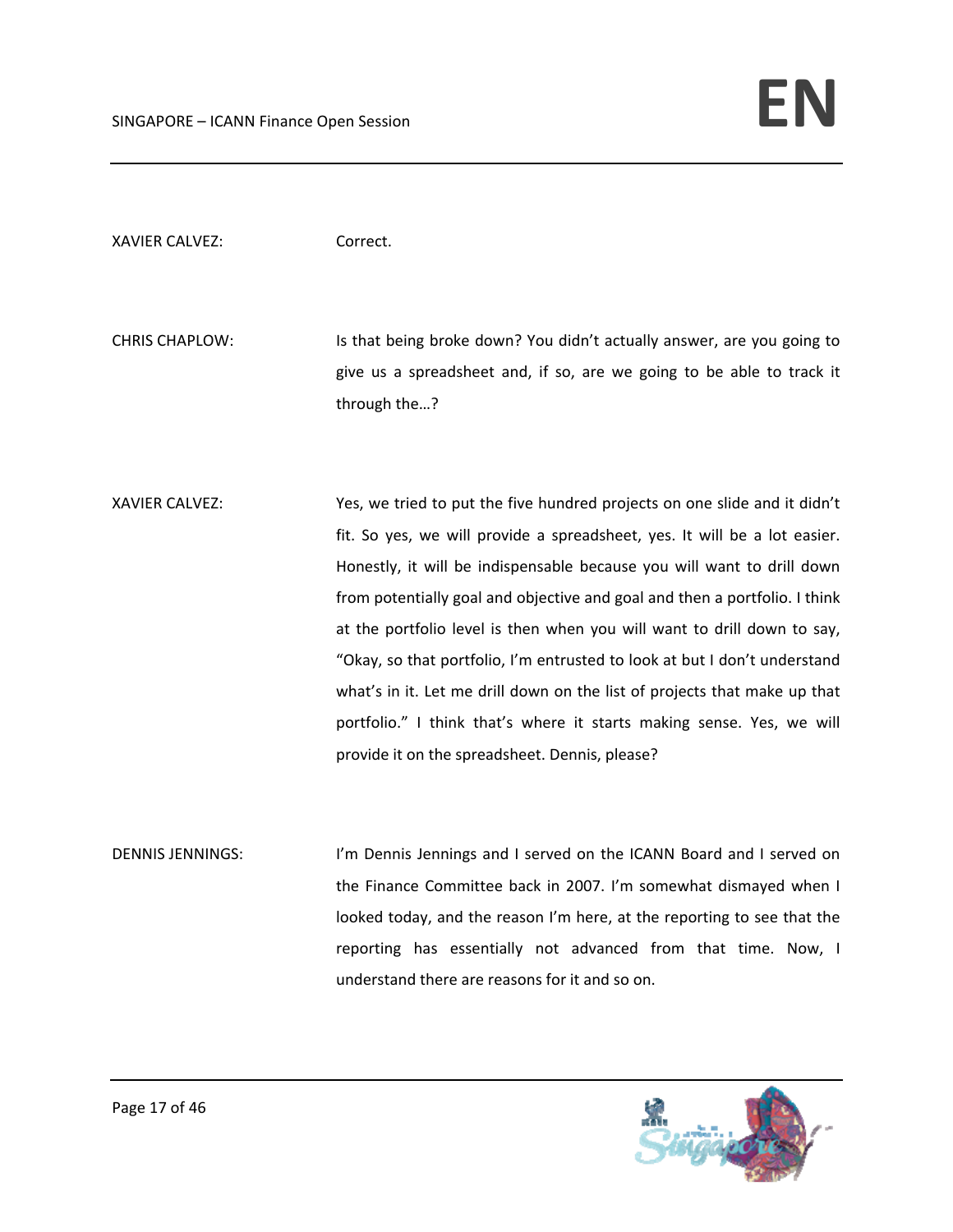XAVIER CALVEZ: Correct.

CHRIS CHAPLOW: Is that being broke down? You didn't actually answer, are you going to give us a spreadsheet and, if so, are we going to be able to track it through the…?

XAVIER CALVEZ: Yes, we tried to put the five hundred projects on one slide and it didn't fit. So yes, we will provide a spreadsheet, yes. It will be a lot easier. Honestly, it will be indispensable because you will want to drill down from potentially goal and objective and goal and then a portfolio. I think at the portfolio level is then when you will want to drill down to say, "Okay, so that portfolio, I'm entrusted to look at but I don't understand what's in it. Let me drill down on the list of projects that make up that portfolio." I think that's where it starts making sense. Yes, we will provide it on the spreadsheet. Dennis, please?

DENNIS JENNINGS: I'm Dennis Jennings and I served on the ICANN Board and I served on the Finance Committee back in 2007. I'm somewhat dismayed when I looked today, and the reason I'm here, at the reporting to see that the reporting has essentially not advanced from that time. Now, I understand there are reasons for it and so on.

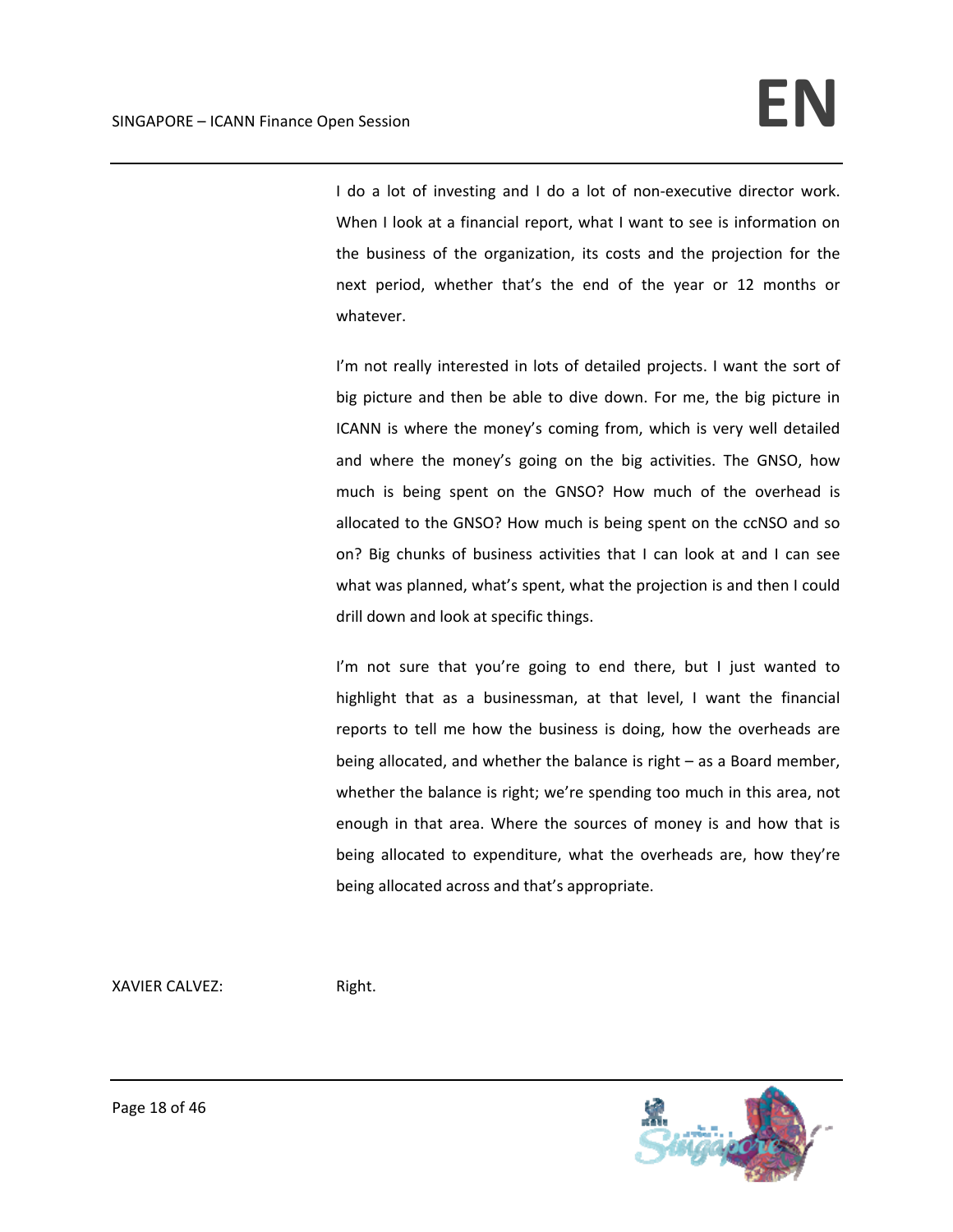I do a lot of investing and I do a lot of non-executive director work. When I look at a financial report, what I want to see is information on the business of the organization, its costs and the projection for the next period, whether that's the end of the year or 12 months or whatever.

I'm not really interested in lots of detailed projects. I want the sort of big picture and then be able to dive down. For me, the big picture in ICANN is where the money's coming from, which is very well detailed and where the money's going on the big activities. The GNSO, how much is being spent on the GNSO? How much of the overhead is allocated to the GNSO? How much is being spent on the ccNSO and so on? Big chunks of business activities that I can look at and I can see what was planned, what's spent, what the projection is and then I could drill down and look at specific things.

I'm not sure that you're going to end there, but I just wanted to highlight that as a businessman, at that level, I want the financial reports to tell me how the business is doing, how the overheads are being allocated, and whether the balance is right – as a Board member, whether the balance is right; we're spending too much in this area, not enough in that area. Where the sources of money is and how that is being allocated to expenditure, what the overheads are, how they're being allocated across and that's appropriate.

XAVIER CALVEZ: Right.

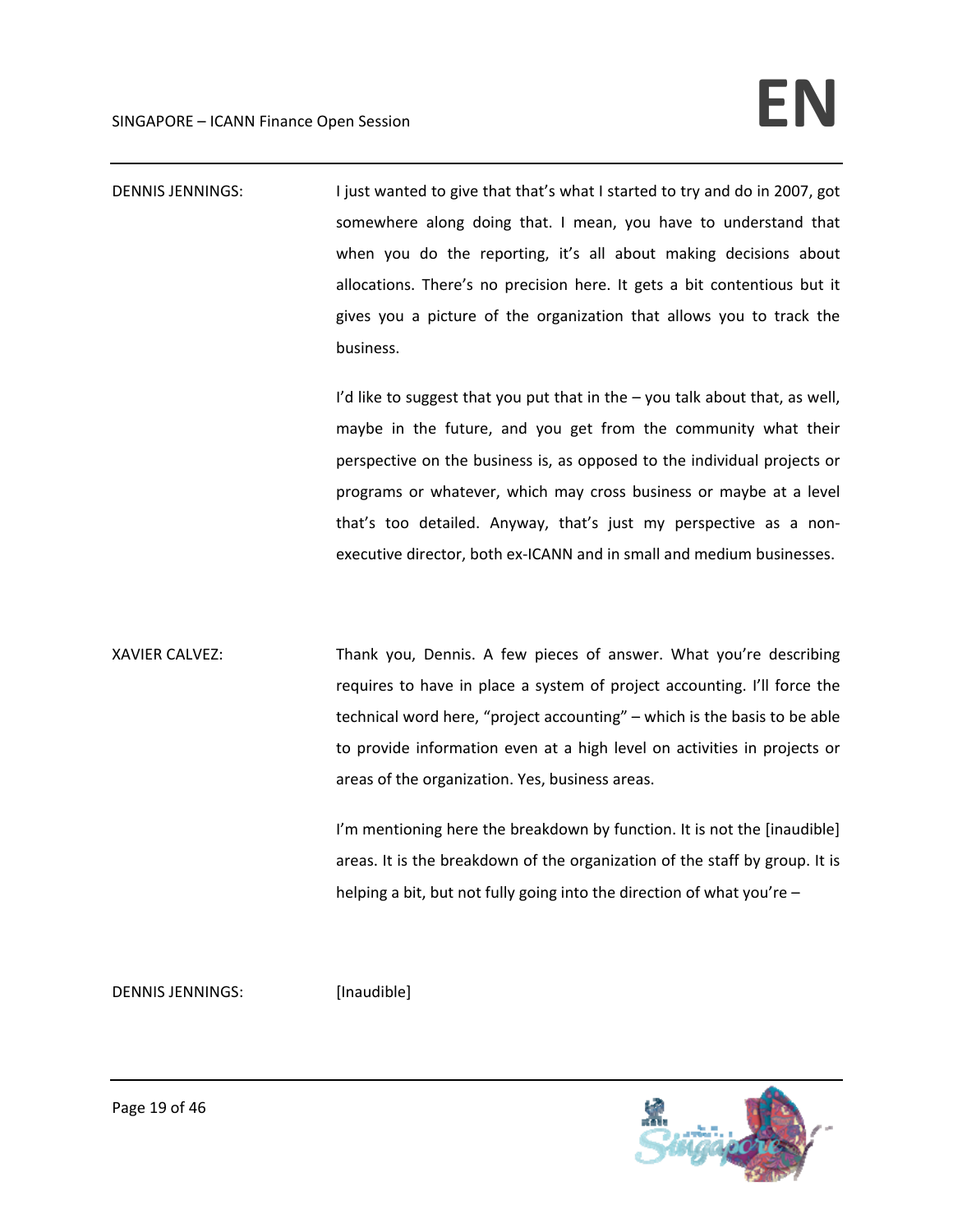DENNIS JENNINGS: I just wanted to give that that's what I started to try and do in 2007, got somewhere along doing that. I mean, you have to understand that when you do the reporting, it's all about making decisions about allocations. There's no precision here. It gets a bit contentious but it gives you a picture of the organization that allows you to track the business.

> I'd like to suggest that you put that in the  $-$  you talk about that, as well, maybe in the future, and you get from the community what their perspective on the business is, as opposed to the individual projects or programs or whatever, which may cross business or maybe at a level that's too detailed. Anyway, that's just my perspective as a non‐ executive director, both ex‐ICANN and in small and medium businesses.

XAVIER CALVEZ: Thank you, Dennis. A few pieces of answer. What you're describing requires to have in place a system of project accounting. I'll force the technical word here, "project accounting" – which is the basis to be able to provide information even at a high level on activities in projects or areas of the organization. Yes, business areas.

> I'm mentioning here the breakdown by function. It is not the [inaudible] areas. It is the breakdown of the organization of the staff by group. It is helping a bit, but not fully going into the direction of what you're –

DENNIS JENNINGS: [Inaudible]

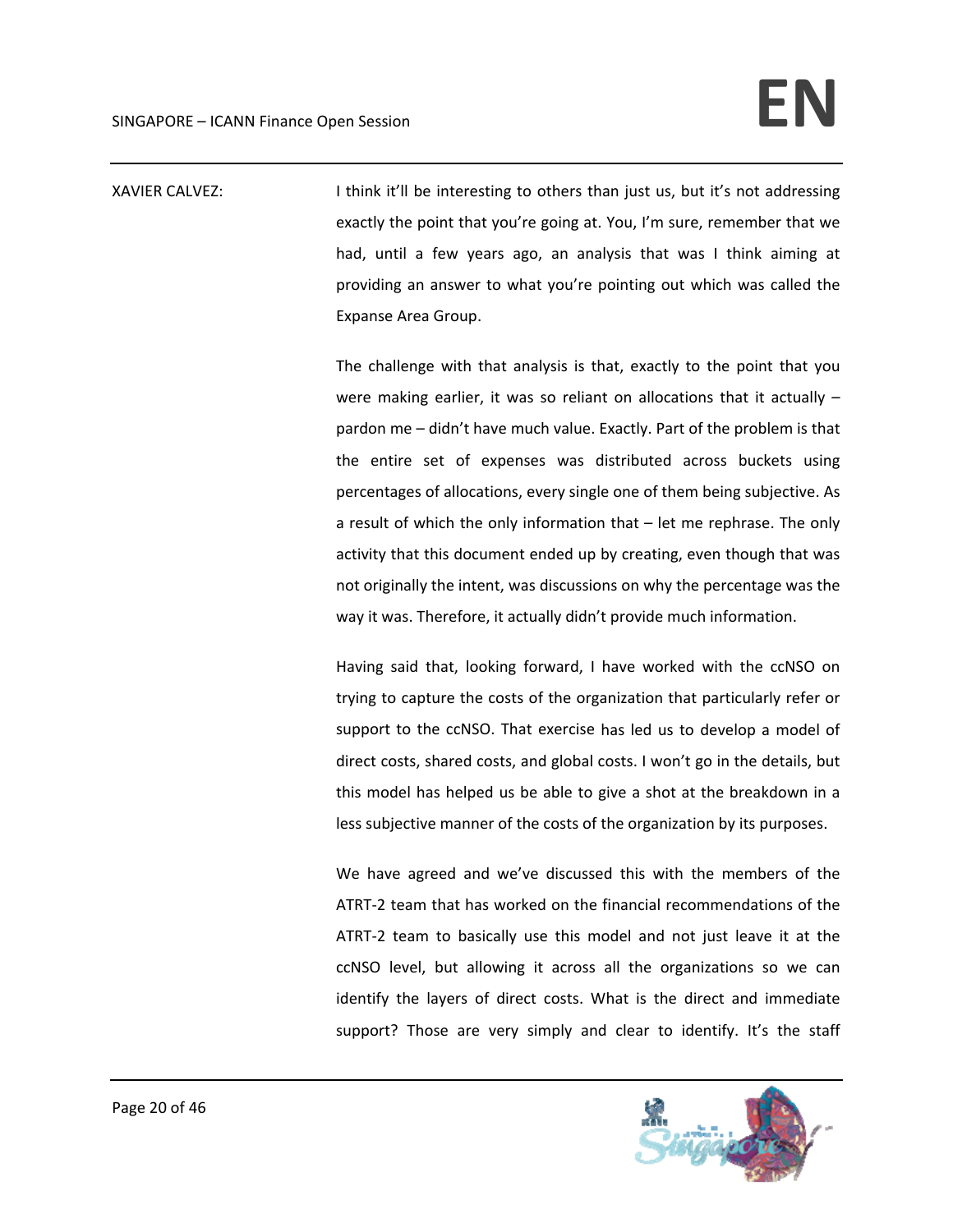XAVIER CALVEZ: I think it'll be interesting to others than just us, but it's not addressing exactly the point that you're going at. You, I'm sure, remember that we had, until a few years ago, an analysis that was I think aiming at providing an answer to what you're pointing out which was called the Expanse Area Group.

> The challenge with that analysis is that, exactly to the point that you were making earlier, it was so reliant on allocations that it actually – pardon me – didn't have much value. Exactly. Part of the problem is that the entire set of expenses was distributed across buckets using percentages of allocations, every single one of them being subjective. As a result of which the only information that – let me rephrase. The only activity that this document ended up by creating, even though that was not originally the intent, was discussions on why the percentage was the way it was. Therefore, it actually didn't provide much information.

> Having said that, looking forward, I have worked with the ccNSO on trying to capture the costs of the organization that particularly refer or support to the ccNSO. That exercise has led us to develop a model of direct costs, shared costs, and global costs. I won't go in the details, but this model has helped us be able to give a shot at the breakdown in a less subjective manner of the costs of the organization by its purposes.

> We have agreed and we've discussed this with the members of the ATRT‐2 team that has worked on the financial recommendations of the ATRT‐2 team to basically use this model and not just leave it at the ccNSO level, but allowing it across all the organizations so we can identify the layers of direct costs. What is the direct and immediate support? Those are very simply and clear to identify. It's the staff

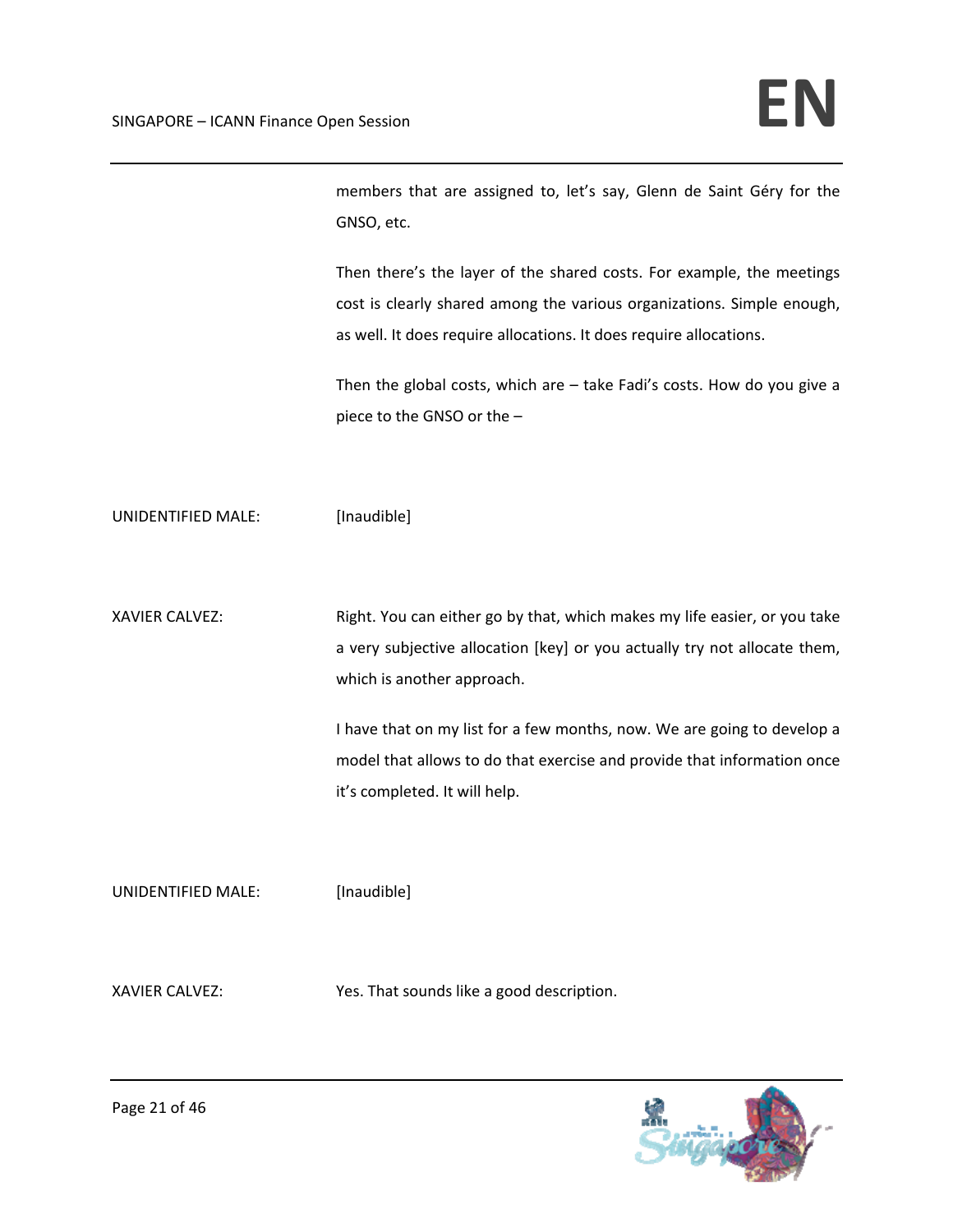members that are assigned to, let's say, Glenn de Saint Géry for the GNSO, etc.

Then there's the layer of the shared costs. For example, the meetings cost is clearly shared among the various organizations. Simple enough, as well. It does require allocations. It does require allocations.

Then the global costs, which are – take Fadi's costs. How do you give a piece to the GNSO or the –

UNIDENTIFIED MALE: [Inaudible]

XAVIER CALVEZ: Right. You can either go by that, which makes my life easier, or you take a very subjective allocation [key] or you actually try not allocate them, which is another approach.

> I have that on my list for a few months, now. We are going to develop a model that allows to do that exercise and provide that information once it's completed. It will help.

UNIDENTIFIED MALE: [Inaudible]

XAVIER CALVEZ: Yes. That sounds like a good description.

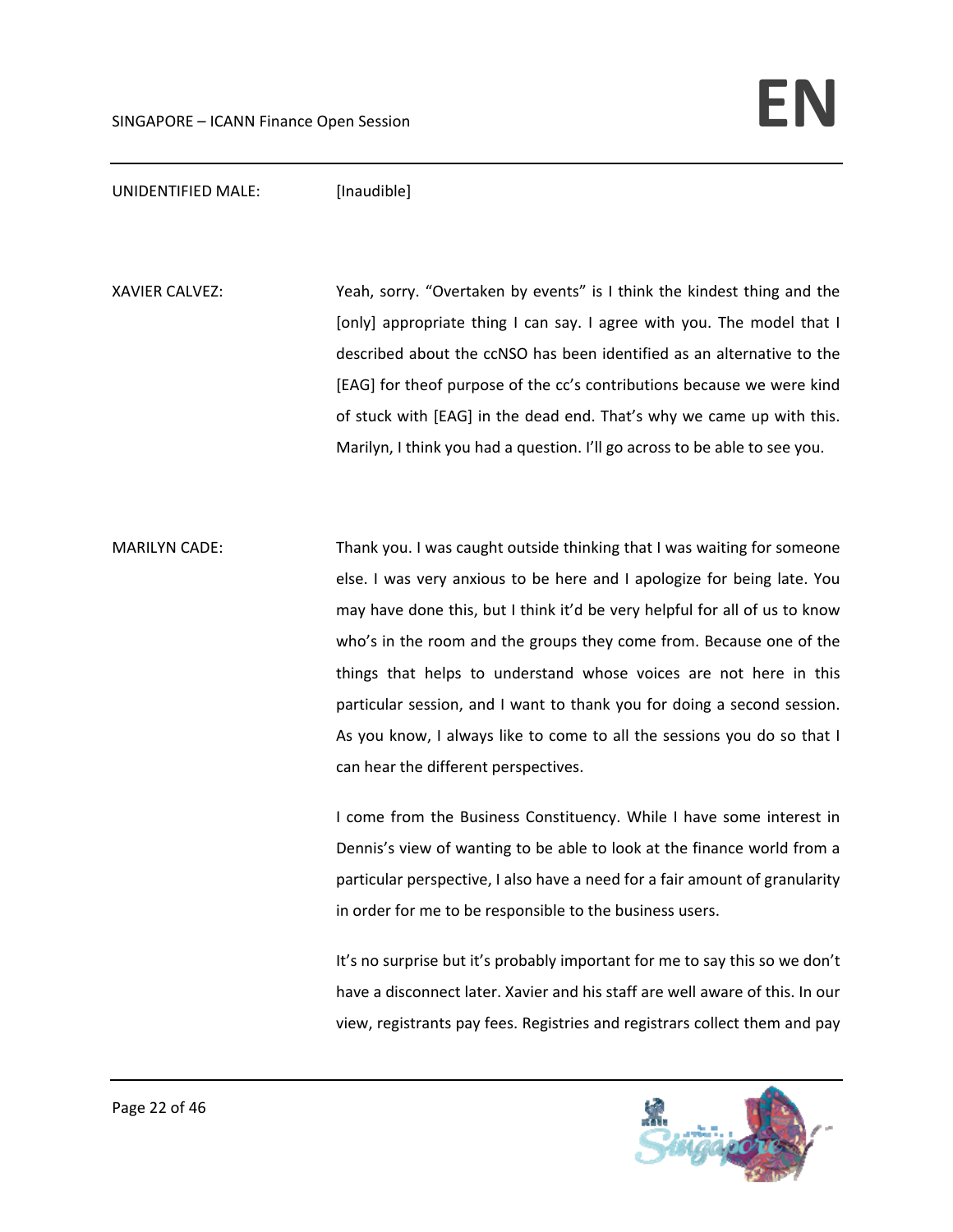## UNIDENTIFIED MALE: [Inaudible]

XAVIER CALVEZ: Yeah, sorry. "Overtaken by events" is I think the kindest thing and the [only] appropriate thing I can say. I agree with you. The model that I described about the ccNSO has been identified as an alternative to the [EAG] for theof purpose of the cc's contributions because we were kind of stuck with [EAG] in the dead end. That's why we came up with this. Marilyn, I think you had a question. I'll go across to be able to see you.

MARILYN CADE: Thank you. I was caught outside thinking that I was waiting for someone else. I was very anxious to be here and I apologize for being late. You may have done this, but I think it'd be very helpful for all of us to know who's in the room and the groups they come from. Because one of the things that helps to understand whose voices are not here in this particular session, and I want to thank you for doing a second session. As you know, I always like to come to all the sessions you do so that I can hear the different perspectives.

> I come from the Business Constituency. While I have some interest in Dennis's view of wanting to be able to look at the finance world from a particular perspective, I also have a need for a fair amount of granularity in order for me to be responsible to the business users.

> It's no surprise but it's probably important for me to say this so we don't have a disconnect later. Xavier and his staff are well aware of this. In our view, registrants pay fees. Registries and registrars collect them and pay

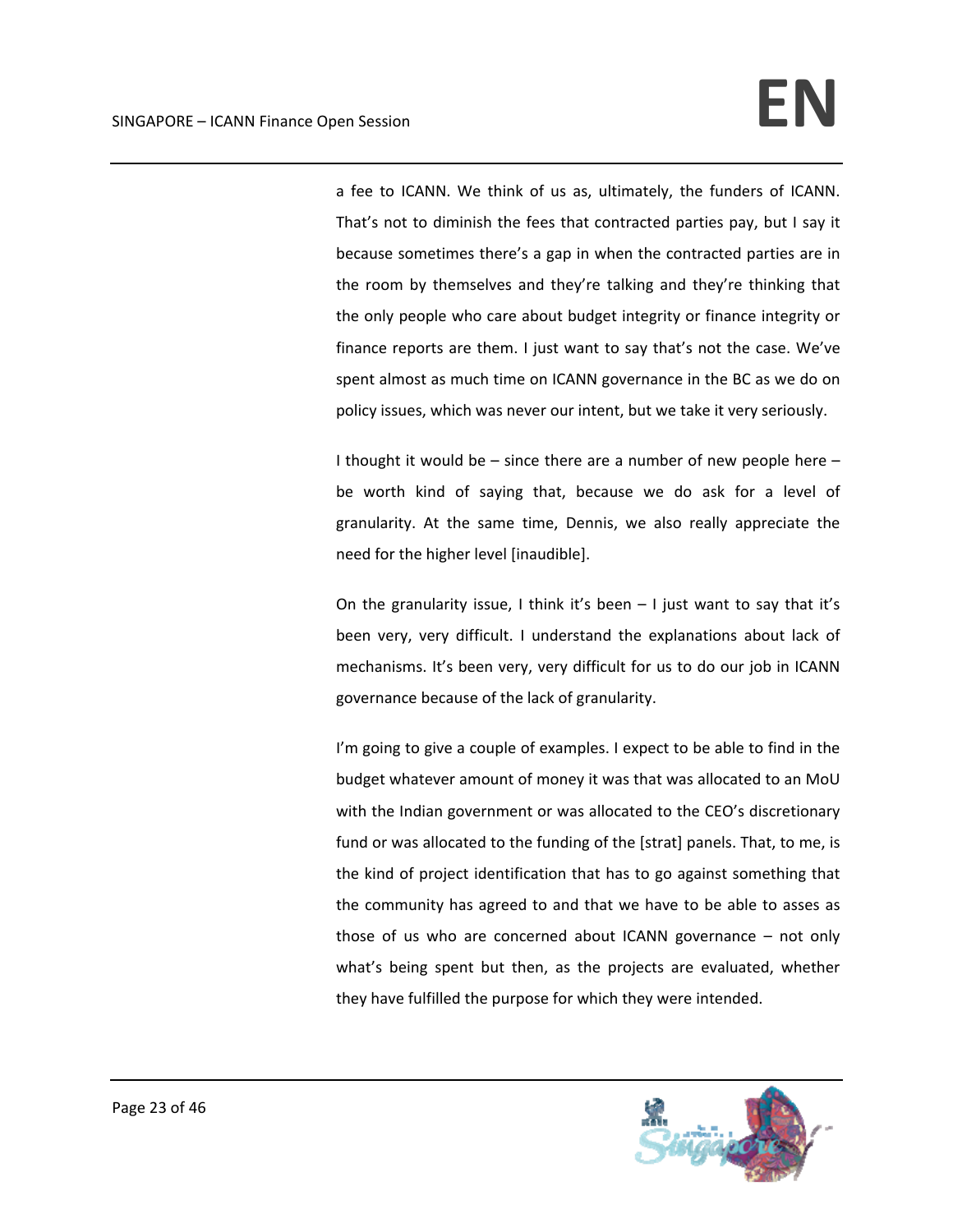a fee to ICANN. We think of us as, ultimately, the funders of ICANN. That's not to diminish the fees that contracted parties pay, but I say it because sometimes there's a gap in when the contracted parties are in the room by themselves and they're talking and they're thinking that the only people who care about budget integrity or finance integrity or finance reports are them. I just want to say that's not the case. We've spent almost as much time on ICANN governance in the BC as we do on policy issues, which was never our intent, but we take it very seriously.

I thought it would be – since there are a number of new people here – be worth kind of saying that, because we do ask for a level of granularity. At the same time, Dennis, we also really appreciate the need for the higher level [inaudible].

On the granularity issue, I think it's been  $-1$  just want to say that it's been very, very difficult. I understand the explanations about lack of mechanisms. It's been very, very difficult for us to do our job in ICANN governance because of the lack of granularity.

I'm going to give a couple of examples. I expect to be able to find in the budget whatever amount of money it was that was allocated to an MoU with the Indian government or was allocated to the CEO's discretionary fund or was allocated to the funding of the [strat] panels. That, to me, is the kind of project identification that has to go against something that the community has agreed to and that we have to be able to asses as those of us who are concerned about ICANN governance – not only what's being spent but then, as the projects are evaluated, whether they have fulfilled the purpose for which they were intended.

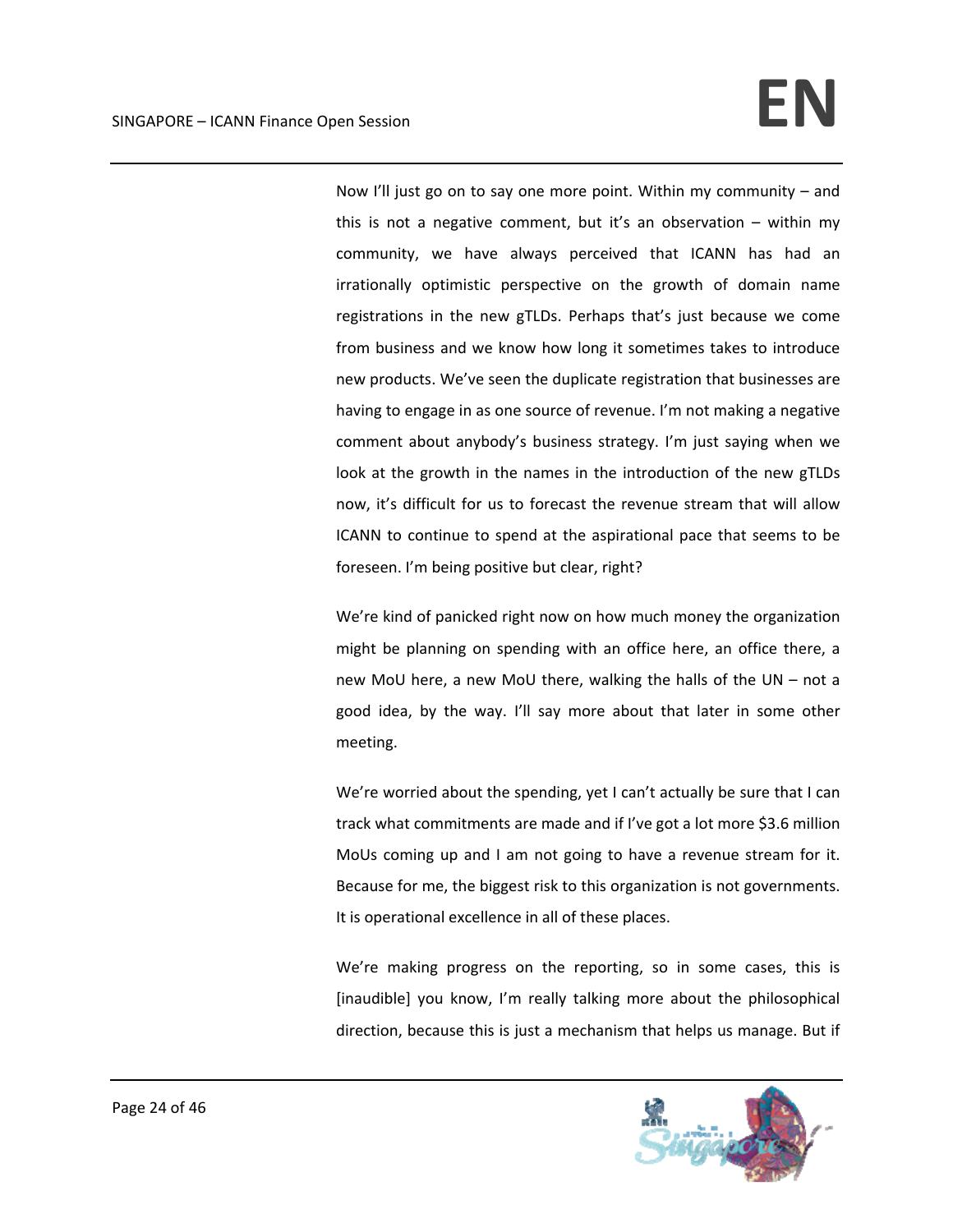Now I'll just go on to say one more point. Within my community – and this is not a negative comment, but it's an observation  $-$  within my community, we have always perceived that ICANN has had an irrationally optimistic perspective on the growth of domain name registrations in the new gTLDs. Perhaps that's just because we come from business and we know how long it sometimes takes to introduce new products. We've seen the duplicate registration that businesses are having to engage in as one source of revenue. I'm not making a negative comment about anybody's business strategy. I'm just saying when we look at the growth in the names in the introduction of the new gTLDs now, it's difficult for us to forecast the revenue stream that will allow ICANN to continue to spend at the aspirational pace that seems to be foreseen. I'm being positive but clear, right?

We're kind of panicked right now on how much money the organization might be planning on spending with an office here, an office there, a new MoU here, a new MoU there, walking the halls of the UN – not a good idea, by the way. I'll say more about that later in some other meeting.

We're worried about the spending, yet I can't actually be sure that I can track what commitments are made and if I've got a lot more \$3.6 million MoUs coming up and I am not going to have a revenue stream for it. Because for me, the biggest risk to this organization is not governments. It is operational excellence in all of these places.

We're making progress on the reporting, so in some cases, this is [inaudible] you know, I'm really talking more about the philosophical direction, because this is just a mechanism that helps us manage. But if

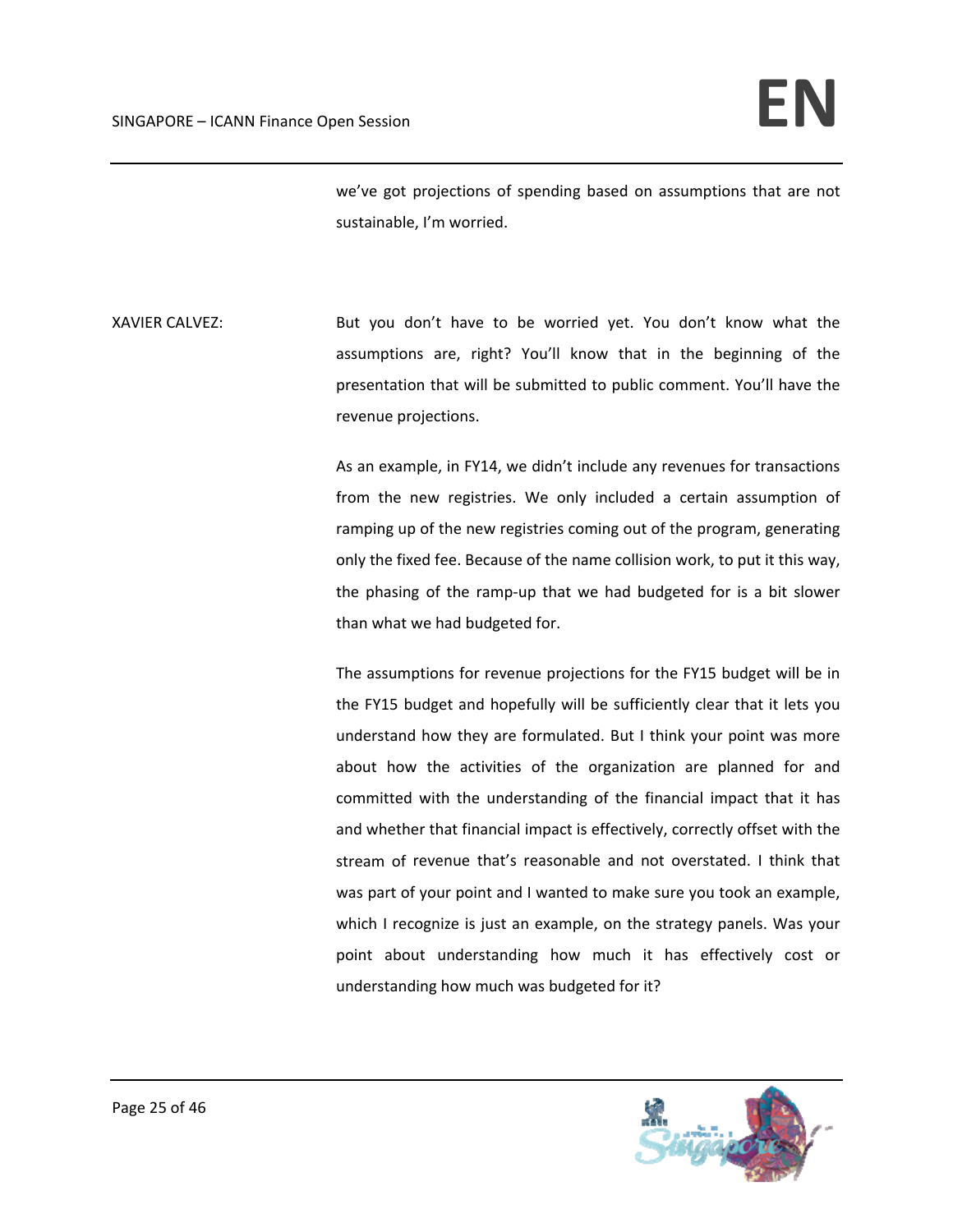we've got projections of spending based on assumptions that are not sustainable, I'm worried.

XAVIER CALVEZ: But you don't have to be worried yet. You don't know what the assumptions are, right? You'll know that in the beginning of the presentation that will be submitted to public comment. You'll have the revenue projections.

> As an example, in FY14, we didn't include any revenues for transactions from the new registries. We only included a certain assumption of ramping up of the new registries coming out of the program, generating only the fixed fee. Because of the name collision work, to put it this way, the phasing of the ramp‐up that we had budgeted for is a bit slower than what we had budgeted for.

> The assumptions for revenue projections for the FY15 budget will be in the FY15 budget and hopefully will be sufficiently clear that it lets you understand how they are formulated. But I think your point was more about how the activities of the organization are planned for and committed with the understanding of the financial impact that it has and whether that financial impact is effectively, correctly offset with the stream of revenue that's reasonable and not overstated. I think that was part of your point and I wanted to make sure you took an example, which I recognize is just an example, on the strategy panels. Was your point about understanding how much it has effectively cost or understanding how much was budgeted for it?

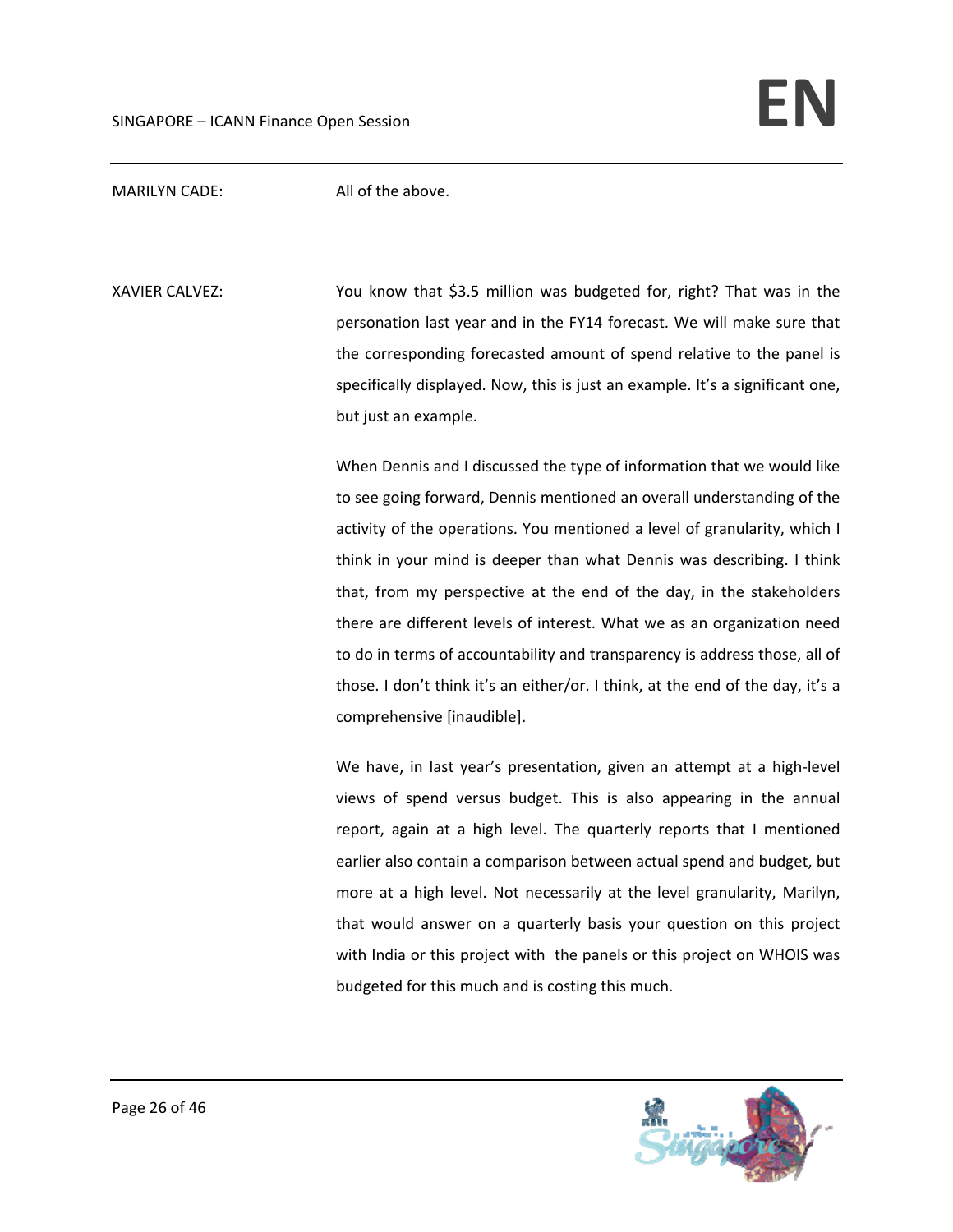MARILYN CADE: All of the above.

XAVIER CALVEZ: You know that \$3.5 million was budgeted for, right? That was in the personation last year and in the FY14 forecast. We will make sure that the corresponding forecasted amount of spend relative to the panel is specifically displayed. Now, this is just an example. It's a significant one, but just an example.

> When Dennis and I discussed the type of information that we would like to see going forward, Dennis mentioned an overall understanding of the activity of the operations. You mentioned a level of granularity, which I think in your mind is deeper than what Dennis was describing. I think that, from my perspective at the end of the day, in the stakeholders there are different levels of interest. What we as an organization need to do in terms of accountability and transparency is address those, all of those. I don't think it's an either/or. I think, at the end of the day, it's a comprehensive [inaudible].

> We have, in last year's presentation, given an attempt at a high‐level views of spend versus budget. This is also appearing in the annual report, again at a high level. The quarterly reports that I mentioned earlier also contain a comparison between actual spend and budget, but more at a high level. Not necessarily at the level granularity, Marilyn, that would answer on a quarterly basis your question on this project with India or this project with the panels or this project on WHOIS was budgeted for this much and is costing this much.

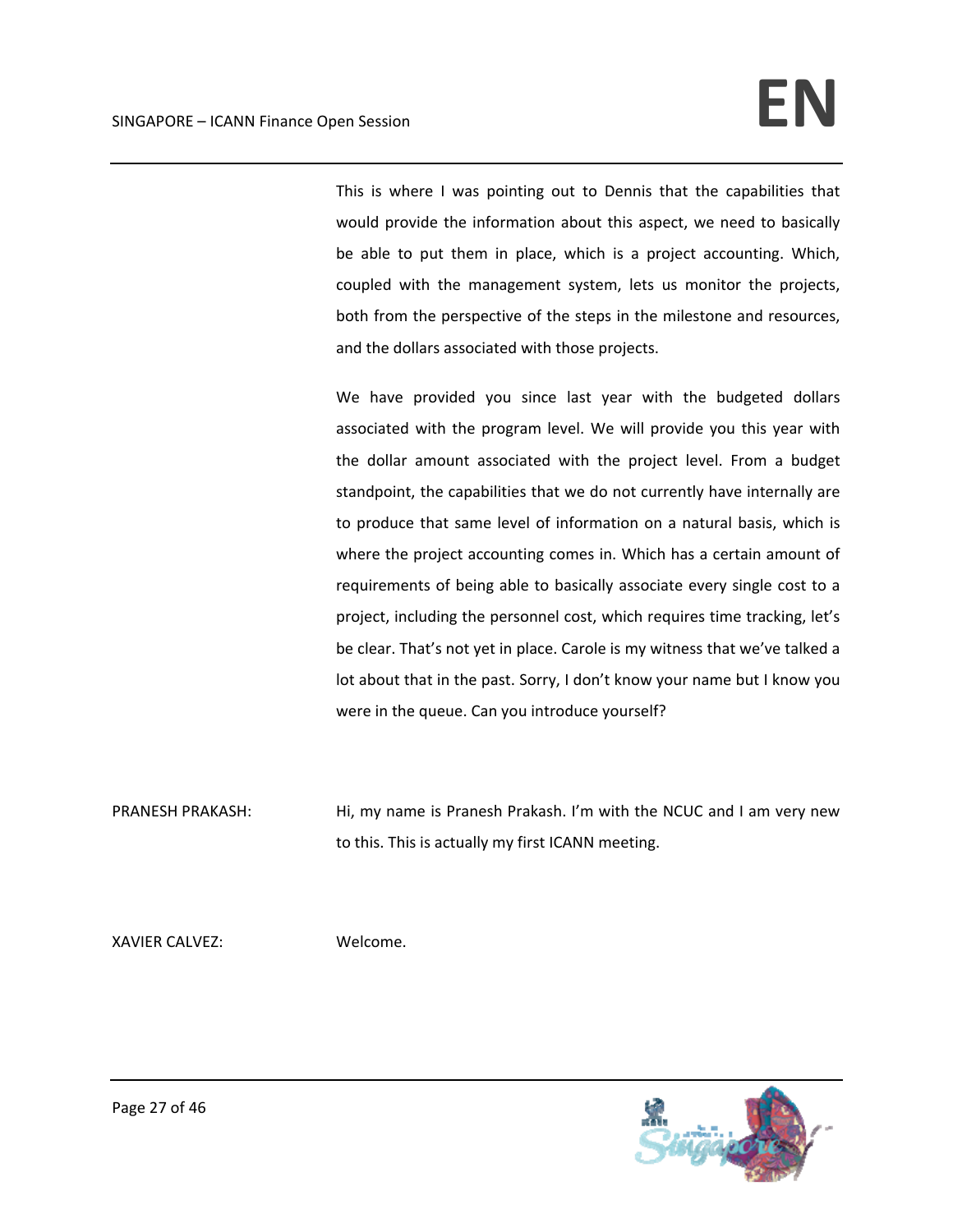This is where I was pointing out to Dennis that the capabilities that would provide the information about this aspect, we need to basically be able to put them in place, which is a project accounting. Which, coupled with the management system, lets us monitor the projects, both from the perspective of the steps in the milestone and resources, and the dollars associated with those projects.

We have provided you since last year with the budgeted dollars associated with the program level. We will provide you this year with the dollar amount associated with the project level. From a budget standpoint, the capabilities that we do not currently have internally are to produce that same level of information on a natural basis, which is where the project accounting comes in. Which has a certain amount of requirements of being able to basically associate every single cost to a project, including the personnel cost, which requires time tracking, let's be clear. That's not yet in place. Carole is my witness that we've talked a lot about that in the past. Sorry, I don't know your name but I know you were in the queue. Can you introduce yourself?

PRANESH PRAKASH: Hi, my name is Pranesh Prakash. I'm with the NCUC and I am very new to this. This is actually my first ICANN meeting.

XAVIER CALVEZ: Welcome.

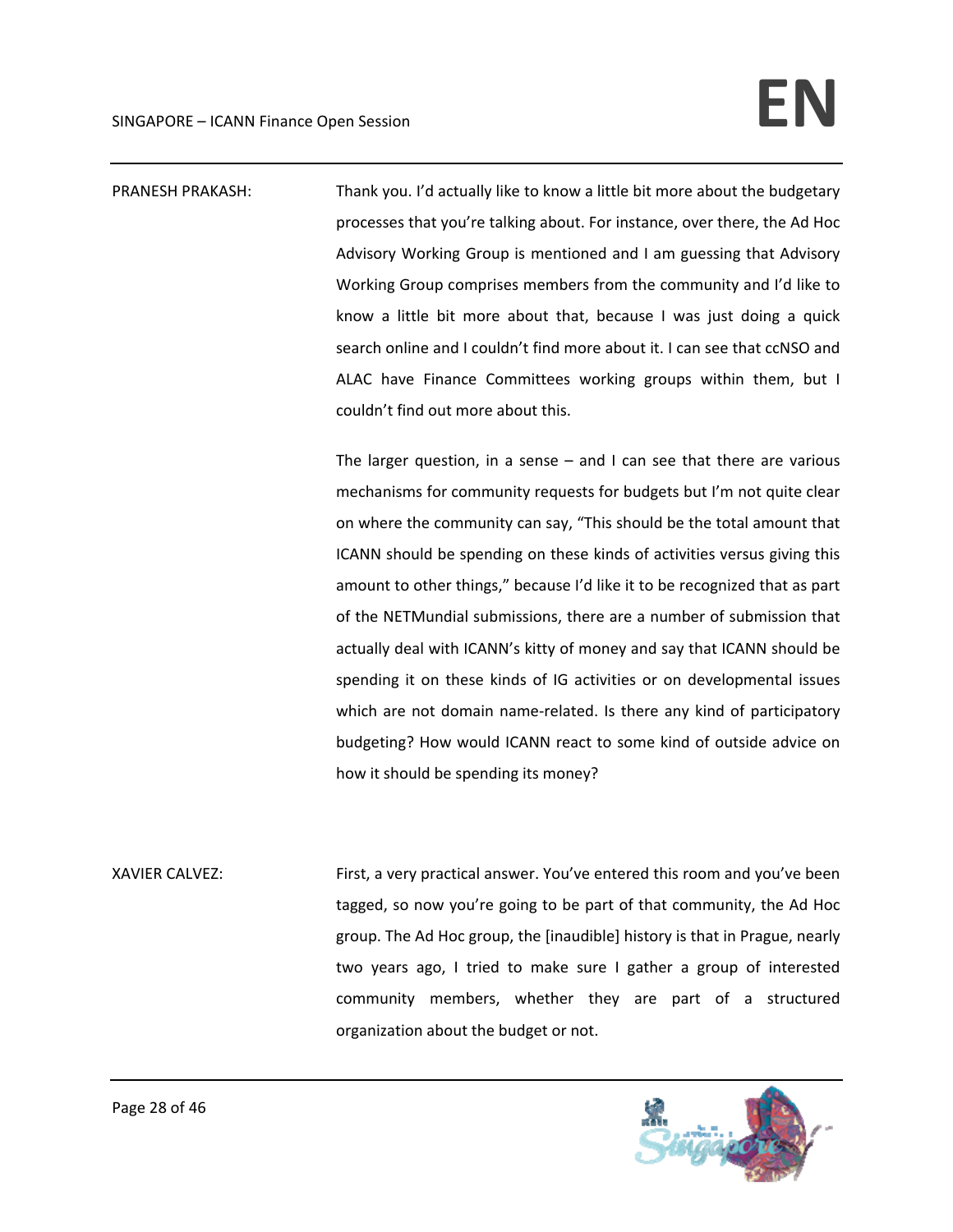PRANESH PRAKASH: Thank you. I'd actually like to know a little bit more about the budgetary processes that you're talking about. For instance, over there, the Ad Hoc Advisory Working Group is mentioned and I am guessing that Advisory Working Group comprises members from the community and I'd like to know a little bit more about that, because I was just doing a quick search online and I couldn't find more about it. I can see that ccNSO and ALAC have Finance Committees working groups within them, but I couldn't find out more about this.

> The larger question, in a sense  $-$  and I can see that there are various mechanisms for community requests for budgets but I'm not quite clear on where the community can say, "This should be the total amount that ICANN should be spending on these kinds of activities versus giving this amount to other things," because I'd like it to be recognized that as part of the NETMundial submissions, there are a number of submission that actually deal with ICANN's kitty of money and say that ICANN should be spending it on these kinds of IG activities or on developmental issues which are not domain name-related. Is there any kind of participatory budgeting? How would ICANN react to some kind of outside advice on how it should be spending its money?

XAVIER CALVEZ: First, a very practical answer. You've entered this room and you've been tagged, so now you're going to be part of that community, the Ad Hoc group. The Ad Hoc group, the [inaudible] history is that in Prague, nearly two years ago, I tried to make sure I gather a group of interested community members, whether they are part of a structured organization about the budget or not.

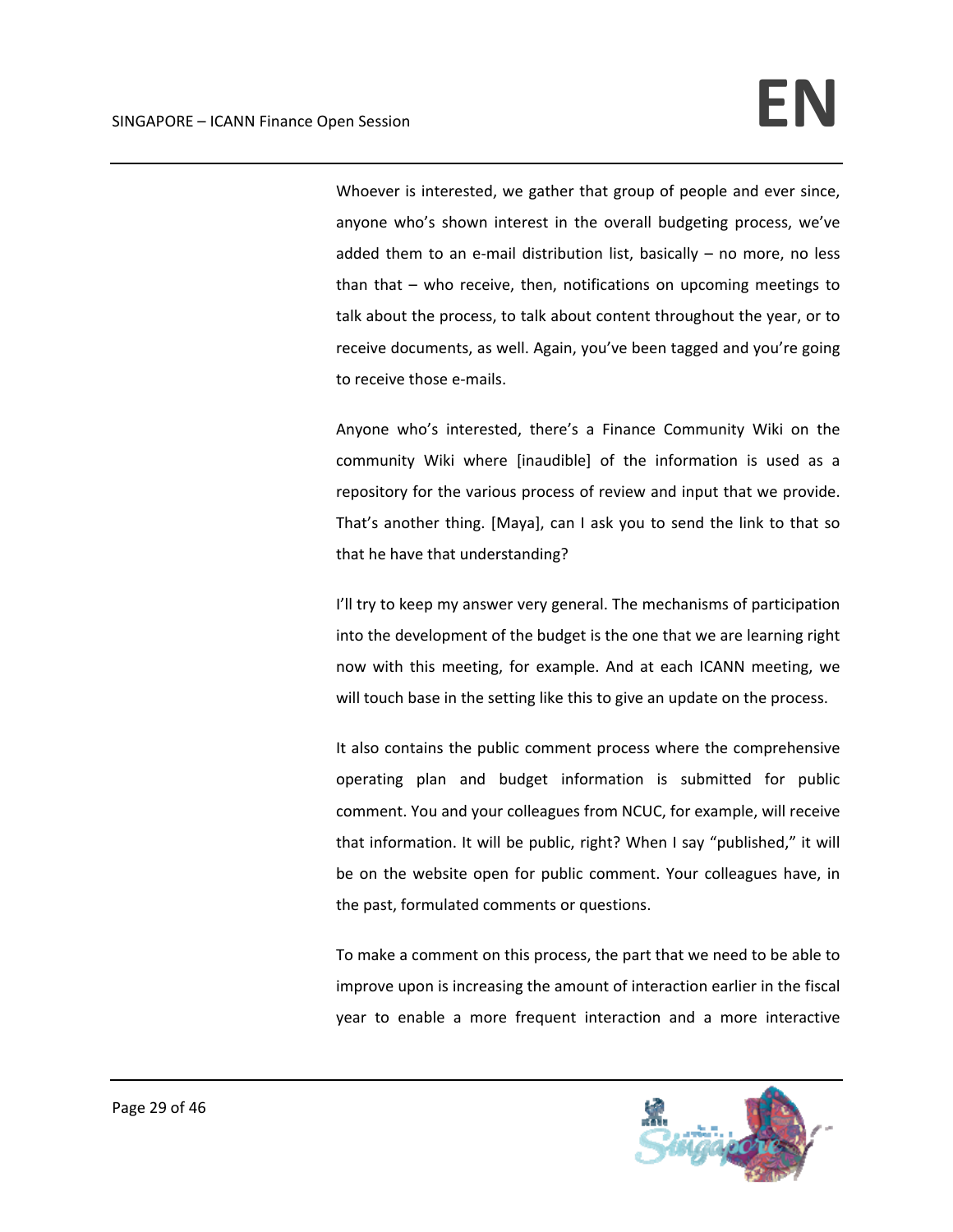Whoever is interested, we gather that group of people and ever since, anyone who's shown interest in the overall budgeting process, we've added them to an e-mail distribution list, basically  $-$  no more, no less than that – who receive, then, notifications on upcoming meetings to talk about the process, to talk about content throughout the year, or to receive documents, as well. Again, you've been tagged and you're going to receive those e‐mails.

Anyone who's interested, there's a Finance Community Wiki on the community Wiki where [inaudible] of the information is used as a repository for the various process of review and input that we provide. That's another thing. [Maya], can I ask you to send the link to that so that he have that understanding?

I'll try to keep my answer very general. The mechanisms of participation into the development of the budget is the one that we are learning right now with this meeting, for example. And at each ICANN meeting, we will touch base in the setting like this to give an update on the process.

It also contains the public comment process where the comprehensive operating plan and budget information is submitted for public comment. You and your colleagues from NCUC, for example, will receive that information. It will be public, right? When I say "published," it will be on the website open for public comment. Your colleagues have, in the past, formulated comments or questions.

To make a comment on this process, the part that we need to be able to improve upon is increasing the amount of interaction earlier in the fiscal year to enable a more frequent interaction and a more interactive

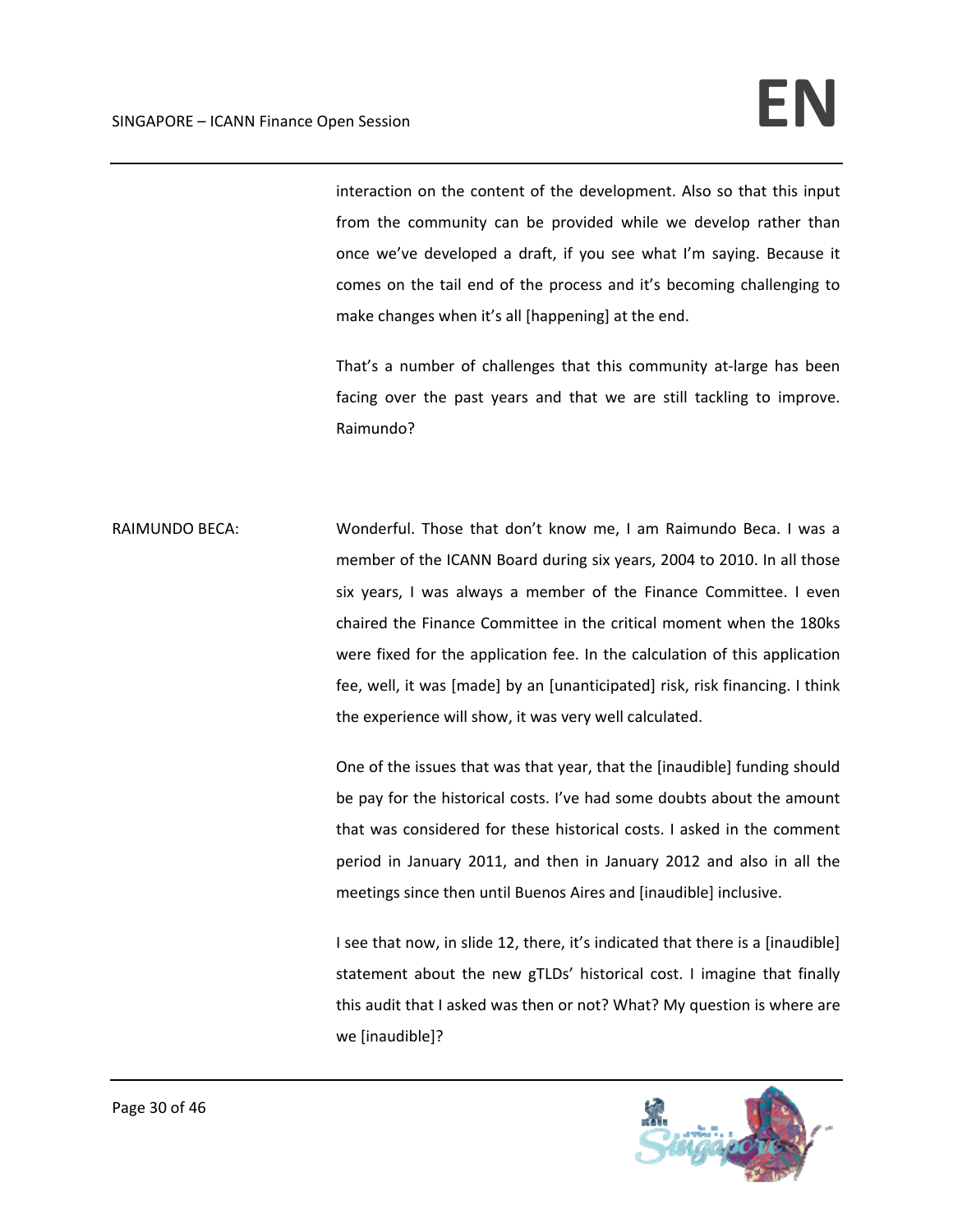interaction on the content of the development. Also so that this input from the community can be provided while we develop rather than once we've developed a draft, if you see what I'm saying. Because it comes on the tail end of the process and it's becoming challenging to make changes when it's all [happening] at the end.

That's a number of challenges that this community at-large has been facing over the past years and that we are still tackling to improve. Raimundo?

RAIMUNDO BECA: Wonderful. Those that don't know me, I am Raimundo Beca. I was a member of the ICANN Board during six years, 2004 to 2010. In all those six years, I was always a member of the Finance Committee. I even chaired the Finance Committee in the critical moment when the 180ks were fixed for the application fee. In the calculation of this application fee, well, it was [made] by an [unanticipated] risk, risk financing. I think the experience will show, it was very well calculated.

> One of the issues that was that year, that the [inaudible] funding should be pay for the historical costs. I've had some doubts about the amount that was considered for these historical costs. I asked in the comment period in January 2011, and then in January 2012 and also in all the meetings since then until Buenos Aires and [inaudible] inclusive.

> I see that now, in slide 12, there, it's indicated that there is a [inaudible] statement about the new gTLDs' historical cost. I imagine that finally this audit that I asked was then or not? What? My question is where are we [inaudible]?

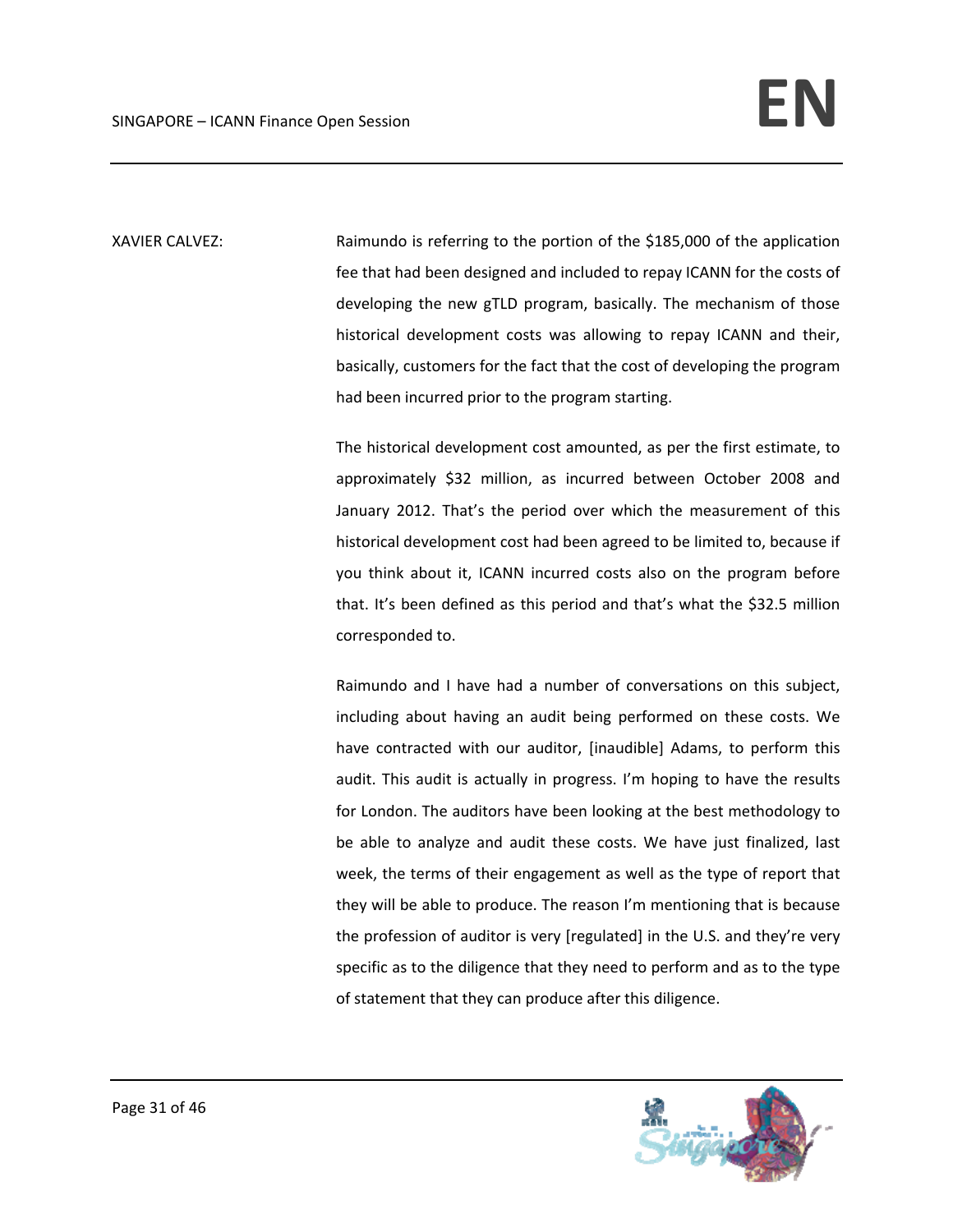XAVIER CALVEZ: Raimundo is referring to the portion of the \$185,000 of the application fee that had been designed and included to repay ICANN for the costs of developing the new gTLD program, basically. The mechanism of those historical development costs was allowing to repay ICANN and their, basically, customers for the fact that the cost of developing the program had been incurred prior to the program starting.

> The historical development cost amounted, as per the first estimate, to approximately \$32 million, as incurred between October 2008 and January 2012. That's the period over which the measurement of this historical development cost had been agreed to be limited to, because if you think about it, ICANN incurred costs also on the program before that. It's been defined as this period and that's what the \$32.5 million corresponded to.

> Raimundo and I have had a number of conversations on this subject, including about having an audit being performed on these costs. We have contracted with our auditor, [inaudible] Adams, to perform this audit. This audit is actually in progress. I'm hoping to have the results for London. The auditors have been looking at the best methodology to be able to analyze and audit these costs. We have just finalized, last week, the terms of their engagement as well as the type of report that they will be able to produce. The reason I'm mentioning that is because the profession of auditor is very [regulated] in the U.S. and they're very specific as to the diligence that they need to perform and as to the type of statement that they can produce after this diligence.

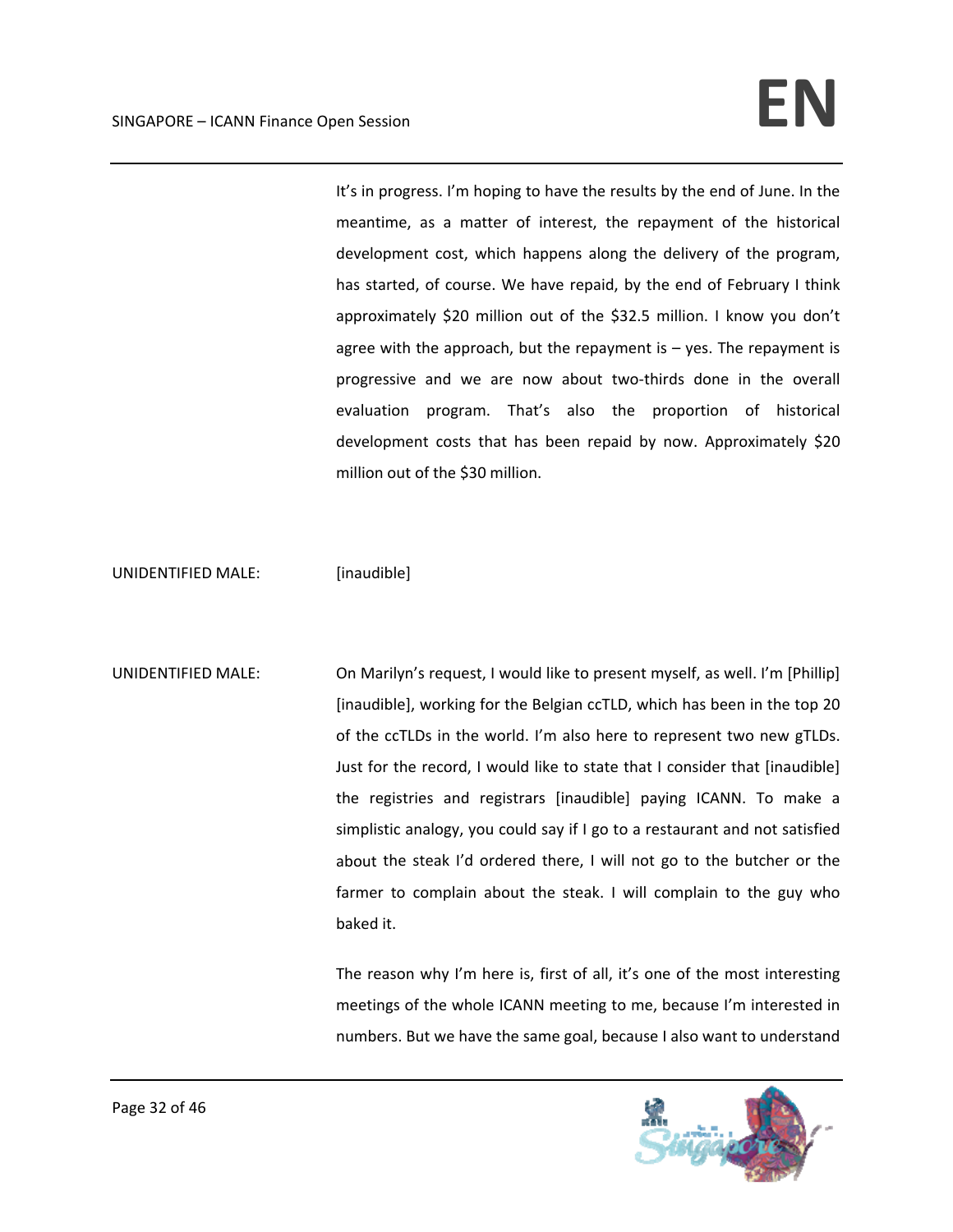It's in progress. I'm hoping to have the results by the end of June. In the meantime, as a matter of interest, the repayment of the historical development cost, which happens along the delivery of the program, has started, of course. We have repaid, by the end of February I think approximately \$20 million out of the \$32.5 million. I know you don't agree with the approach, but the repayment is – yes. The repayment is progressive and we are now about two‐thirds done in the overall evaluation program. That's also the proportion of historical development costs that has been repaid by now. Approximately \$20 million out of the \$30 million.

UNIDENTIFIED MALE: [inaudible]

UNIDENTIFIED MALE: On Marilyn's request, I would like to present myself, as well. I'm [Phillip] [inaudible], working for the Belgian ccTLD, which has been in the top 20 of the ccTLDs in the world. I'm also here to represent two new gTLDs. Just for the record, I would like to state that I consider that [inaudible] the registries and registrars [inaudible] paying ICANN. To make a simplistic analogy, you could say if I go to a restaurant and not satisfied about the steak I'd ordered there, I will not go to the butcher or the farmer to complain about the steak. I will complain to the guy who baked it.

> The reason why I'm here is, first of all, it's one of the most interesting meetings of the whole ICANN meeting to me, because I'm interested in numbers. But we have the same goal, because I also want to understand

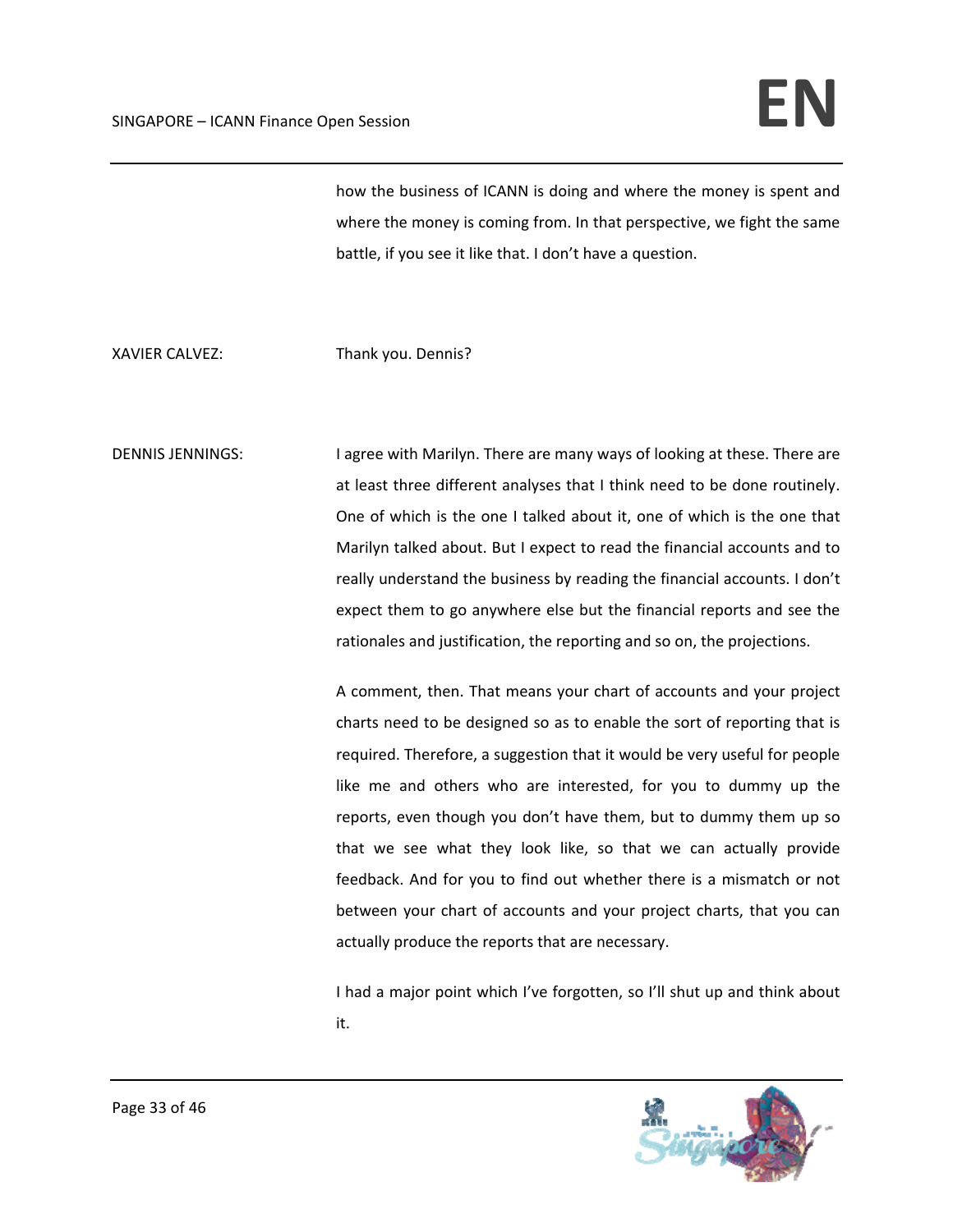## SINGAPORE – ICANN Finance Open Session **EN**

how the business of ICANN is doing and where the money is spent and where the money is coming from. In that perspective, we fight the same battle, if you see it like that. I don't have a question.

XAVIER CALVEZ: Thank you. Dennis?

DENNIS JENNINGS: I agree with Marilyn. There are many ways of looking at these. There are at least three different analyses that I think need to be done routinely. One of which is the one I talked about it, one of which is the one that Marilyn talked about. But I expect to read the financial accounts and to really understand the business by reading the financial accounts. I don't expect them to go anywhere else but the financial reports and see the rationales and justification, the reporting and so on, the projections.

> A comment, then. That means your chart of accounts and your project charts need to be designed so as to enable the sort of reporting that is required. Therefore, a suggestion that it would be very useful for people like me and others who are interested, for you to dummy up the reports, even though you don't have them, but to dummy them up so that we see what they look like, so that we can actually provide feedback. And for you to find out whether there is a mismatch or not between your chart of accounts and your project charts, that you can actually produce the reports that are necessary.

> I had a major point which I've forgotten, so I'll shut up and think about it.

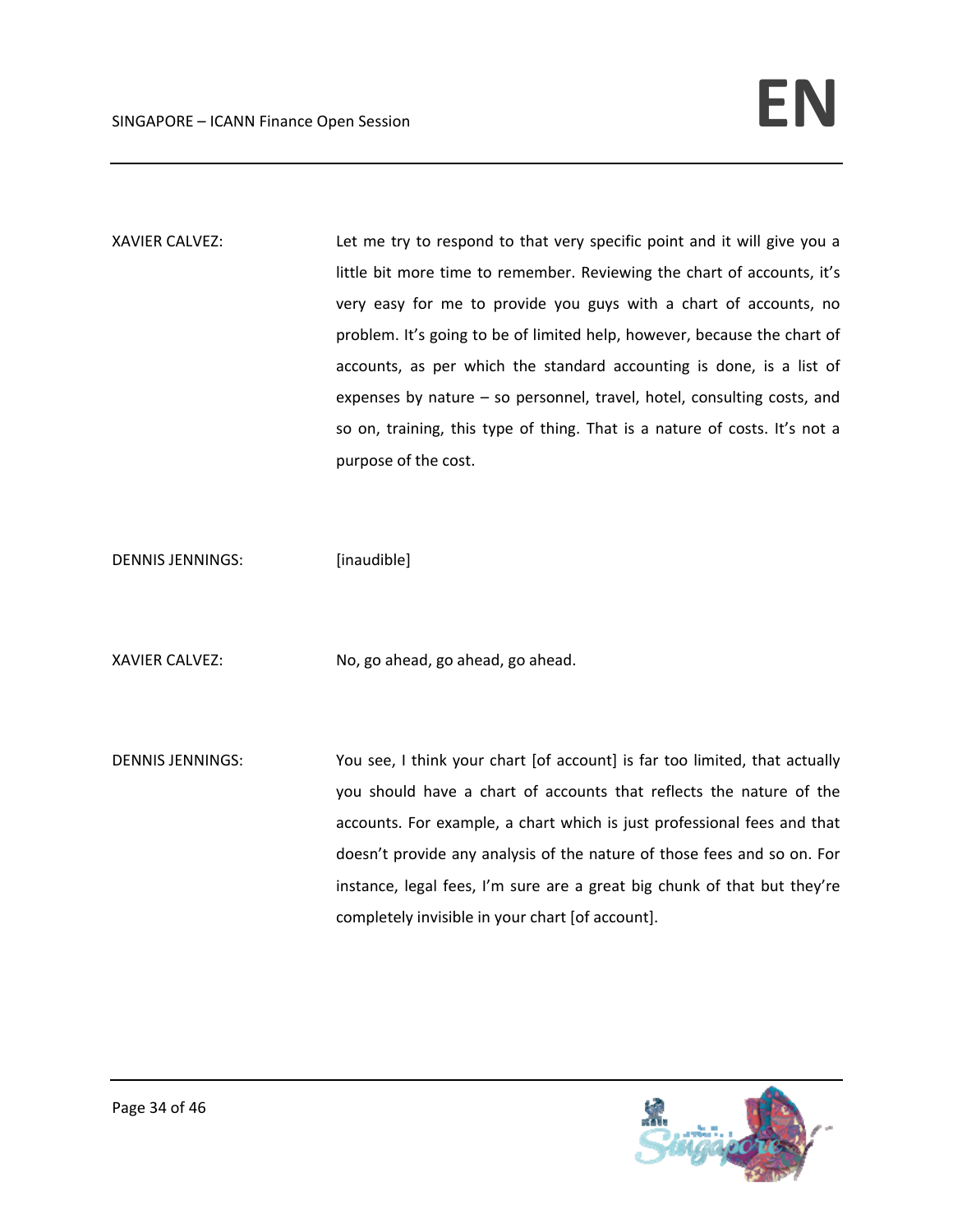XAVIER CALVEZ: Let me try to respond to that very specific point and it will give you a little bit more time to remember. Reviewing the chart of accounts, it's very easy for me to provide you guys with a chart of accounts, no problem. It's going to be of limited help, however, because the chart of accounts, as per which the standard accounting is done, is a list of expenses by nature – so personnel, travel, hotel, consulting costs, and so on, training, this type of thing. That is a nature of costs. It's not a purpose of the cost.

DENNIS JENNINGS: [inaudible]

XAVIER CALVEZ: No, go ahead, go ahead, go ahead.

DENNIS JENNINGS: You see, I think your chart [of account] is far too limited, that actually you should have a chart of accounts that reflects the nature of the accounts. For example, a chart which is just professional fees and that doesn't provide any analysis of the nature of those fees and so on. For instance, legal fees, I'm sure are a great big chunk of that but they're completely invisible in your chart [of account].

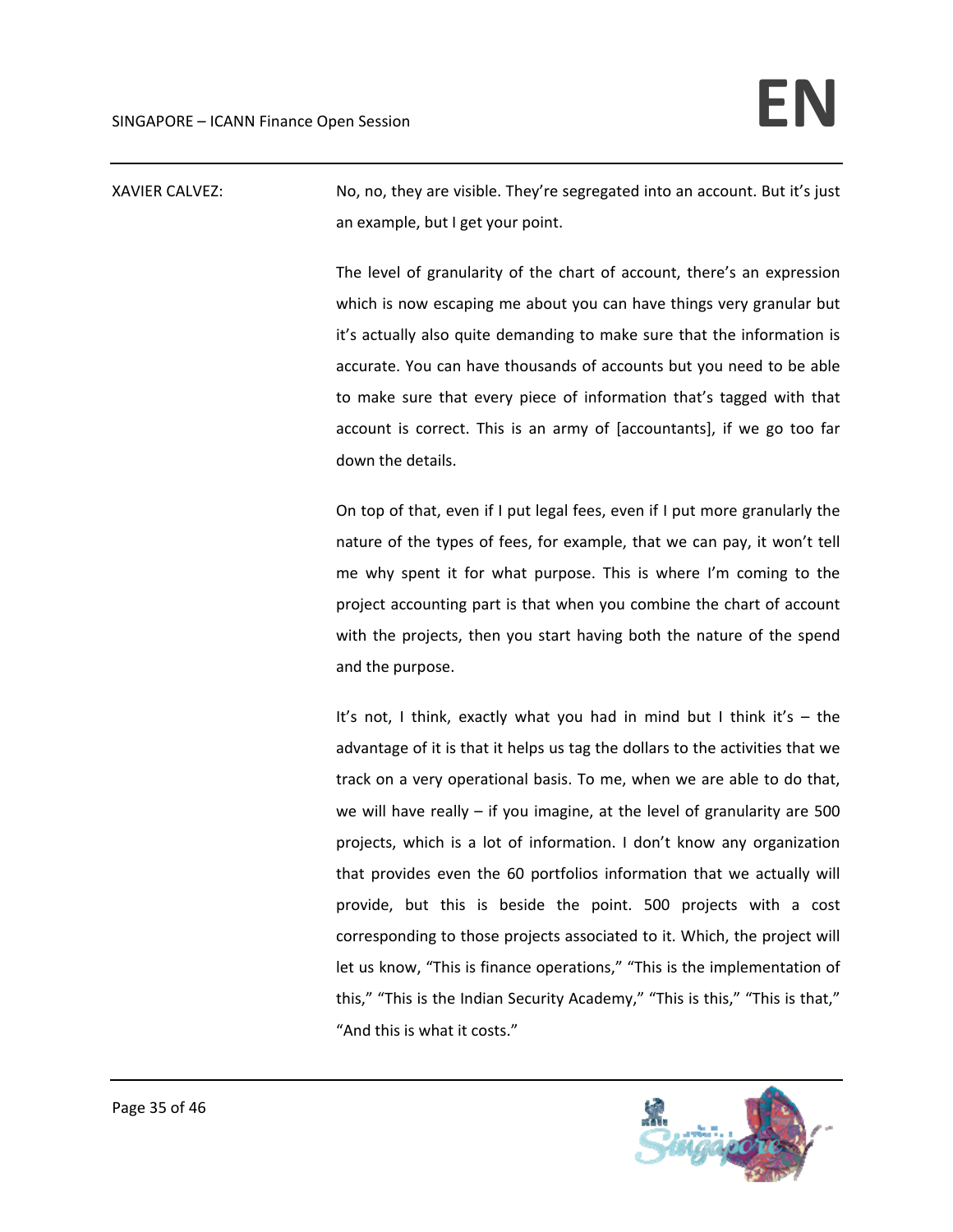XAVIER CALVEZ: No, no, they are visible. They're segregated into an account. But it's just an example, but I get your point.

> The level of granularity of the chart of account, there's an expression which is now escaping me about you can have things very granular but it's actually also quite demanding to make sure that the information is accurate. You can have thousands of accounts but you need to be able to make sure that every piece of information that's tagged with that account is correct. This is an army of [accountants], if we go too far down the details.

> On top of that, even if I put legal fees, even if I put more granularly the nature of the types of fees, for example, that we can pay, it won't tell me why spent it for what purpose. This is where I'm coming to the project accounting part is that when you combine the chart of account with the projects, then you start having both the nature of the spend and the purpose.

> It's not, I think, exactly what you had in mind but I think it's – the advantage of it is that it helps us tag the dollars to the activities that we track on a very operational basis. To me, when we are able to do that, we will have really – if you imagine, at the level of granularity are 500 projects, which is a lot of information. I don't know any organization that provides even the 60 portfolios information that we actually will provide, but this is beside the point. 500 projects with a cost corresponding to those projects associated to it. Which, the project will let us know, "This is finance operations," "This is the implementation of this," "This is the Indian Security Academy," "This is this," "This is that," "And this is what it costs."

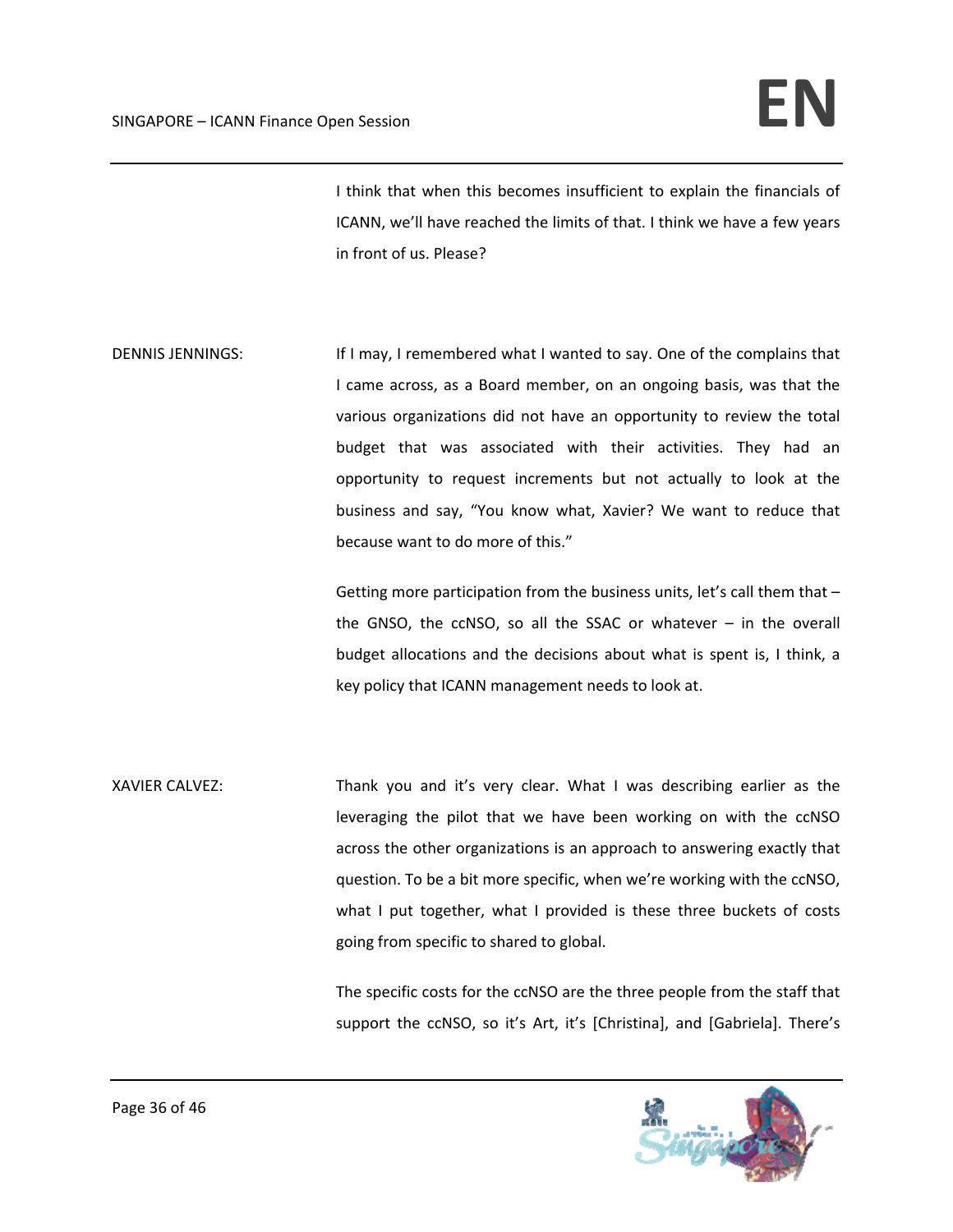I think that when this becomes insufficient to explain the financials of ICANN, we'll have reached the limits of that. I think we have a few years in front of us. Please?

DENNIS JENNINGS: If I may, I remembered what I wanted to say. One of the complains that I came across, as a Board member, on an ongoing basis, was that the various organizations did not have an opportunity to review the total budget that was associated with their activities. They had an opportunity to request increments but not actually to look at the business and say, "You know what, Xavier? We want to reduce that because want to do more of this."

> Getting more participation from the business units, let's call them that the GNSO, the  $c$ CNSO, so all the SSAC or whatever  $-$  in the overall budget allocations and the decisions about what is spent is, I think, a key policy that ICANN management needs to look at.

XAVIER CALVEZ: Thank you and it's very clear. What I was describing earlier as the leveraging the pilot that we have been working on with the ccNSO across the other organizations is an approach to answering exactly that question. To be a bit more specific, when we're working with the ccNSO, what I put together, what I provided is these three buckets of costs going from specific to shared to global.

> The specific costs for the ccNSO are the three people from the staff that support the ccNSO, so it's Art, it's [Christina], and [Gabriela]. There's

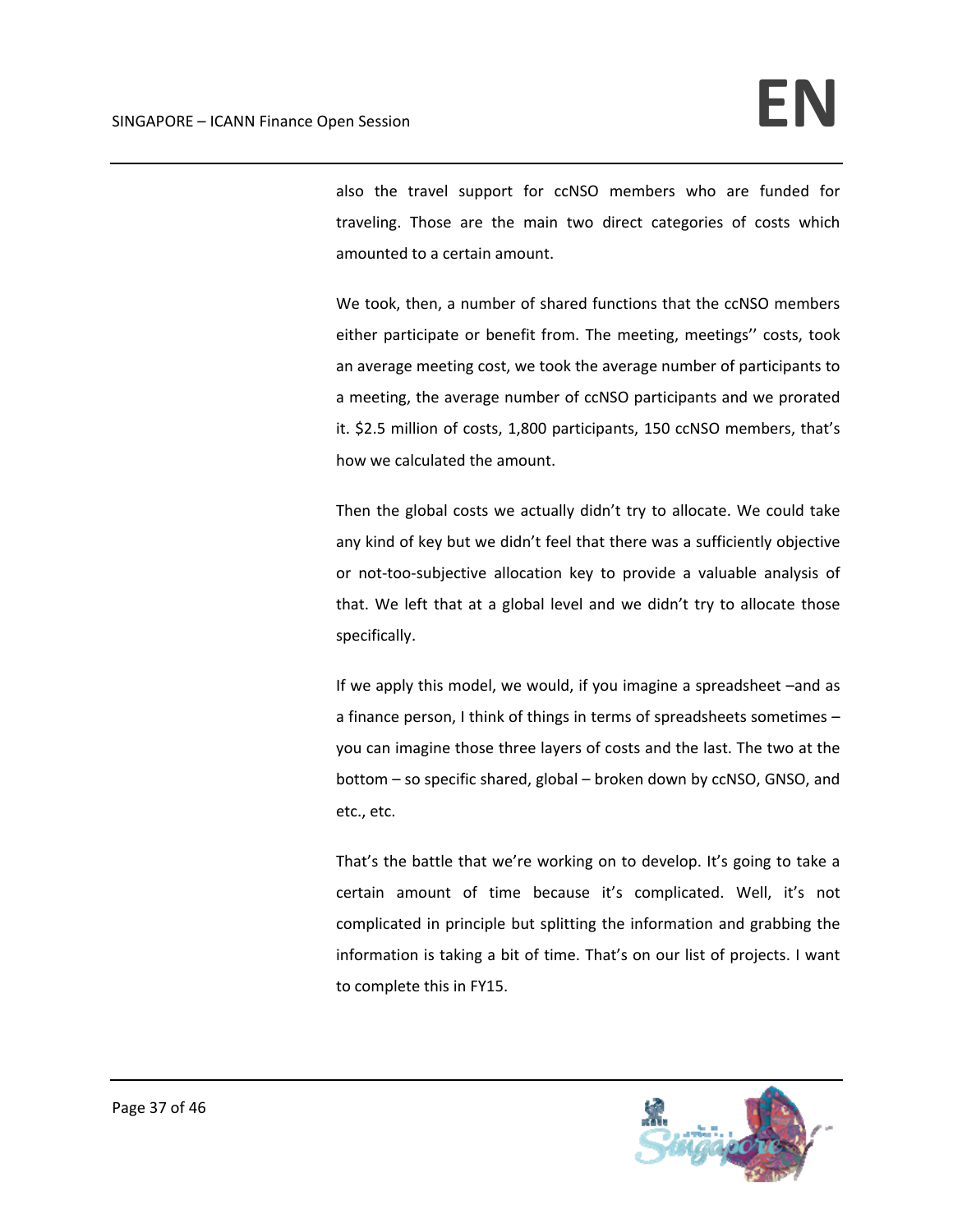also the travel support for ccNSO members who are funded for traveling. Those are the main two direct categories of costs which amounted to a certain amount.

We took, then, a number of shared functions that the ccNSO members either participate or benefit from. The meeting, meetings'' costs, took an average meeting cost, we took the average number of participants to a meeting, the average number of ccNSO participants and we prorated it. \$2.5 million of costs, 1,800 participants, 150 ccNSO members, that's how we calculated the amount.

Then the global costs we actually didn't try to allocate. We could take any kind of key but we didn't feel that there was a sufficiently objective or not-too-subjective allocation key to provide a valuable analysis of that. We left that at a global level and we didn't try to allocate those specifically.

If we apply this model, we would, if you imagine a spreadsheet –and as a finance person, I think of things in terms of spreadsheets sometimes – you can imagine those three layers of costs and the last. The two at the bottom – so specific shared, global – broken down by ccNSO, GNSO, and etc., etc.

That's the battle that we're working on to develop. It's going to take a certain amount of time because it's complicated. Well, it's not complicated in principle but splitting the information and grabbing the information is taking a bit of time. That's on our list of projects. I want to complete this in FY15.

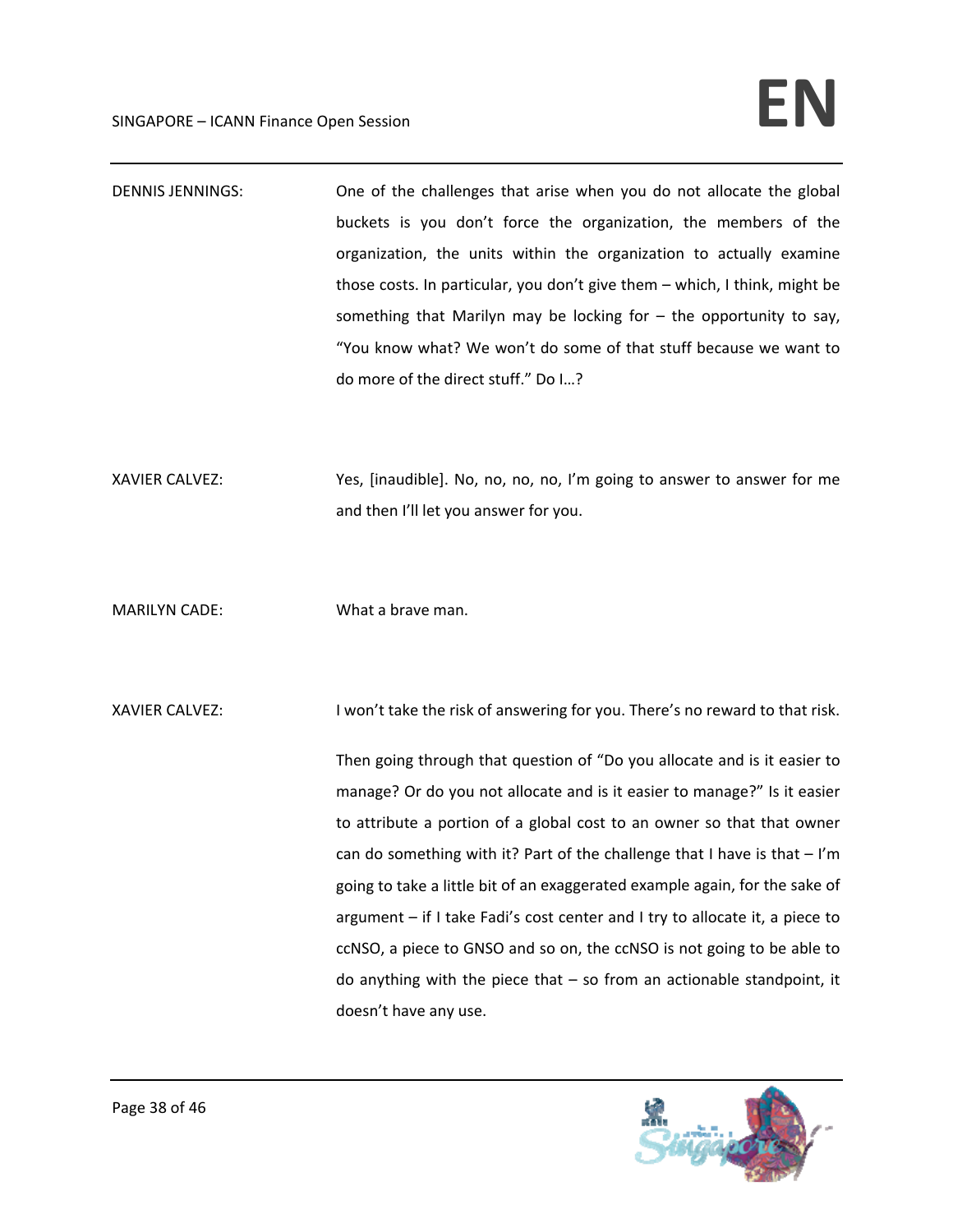## SINGAPORE – ICANN Finance Open Session **EN**

DENNIS JENNINGS: One of the challenges that arise when you do not allocate the global buckets is you don't force the organization, the members of the organization, the units within the organization to actually examine those costs. In particular, you don't give them – which, I think, might be something that Marilyn may be locking for – the opportunity to say, "You know what? We won't do some of that stuff because we want to do more of the direct stuff." Do I…?

XAVIER CALVEZ: Yes, [inaudible]. No, no, no, no, I'm going to answer to answer for me and then I'll let you answer for you.

MARILYN CADE: What a brave man.

XAVIER CALVEZ: I won't take the risk of answering for you. There's no reward to that risk.

Then going through that question of "Do you allocate and is it easier to manage? Or do you not allocate and is it easier to manage?" Is it easier to attribute a portion of a global cost to an owner so that that owner can do something with it? Part of the challenge that I have is that  $-1'm$ going to take a little bit of an exaggerated example again, for the sake of argument – if I take Fadi's cost center and I try to allocate it, a piece to ccNSO, a piece to GNSO and so on, the ccNSO is not going to be able to do anything with the piece that  $-$  so from an actionable standpoint, it doesn't have any use.

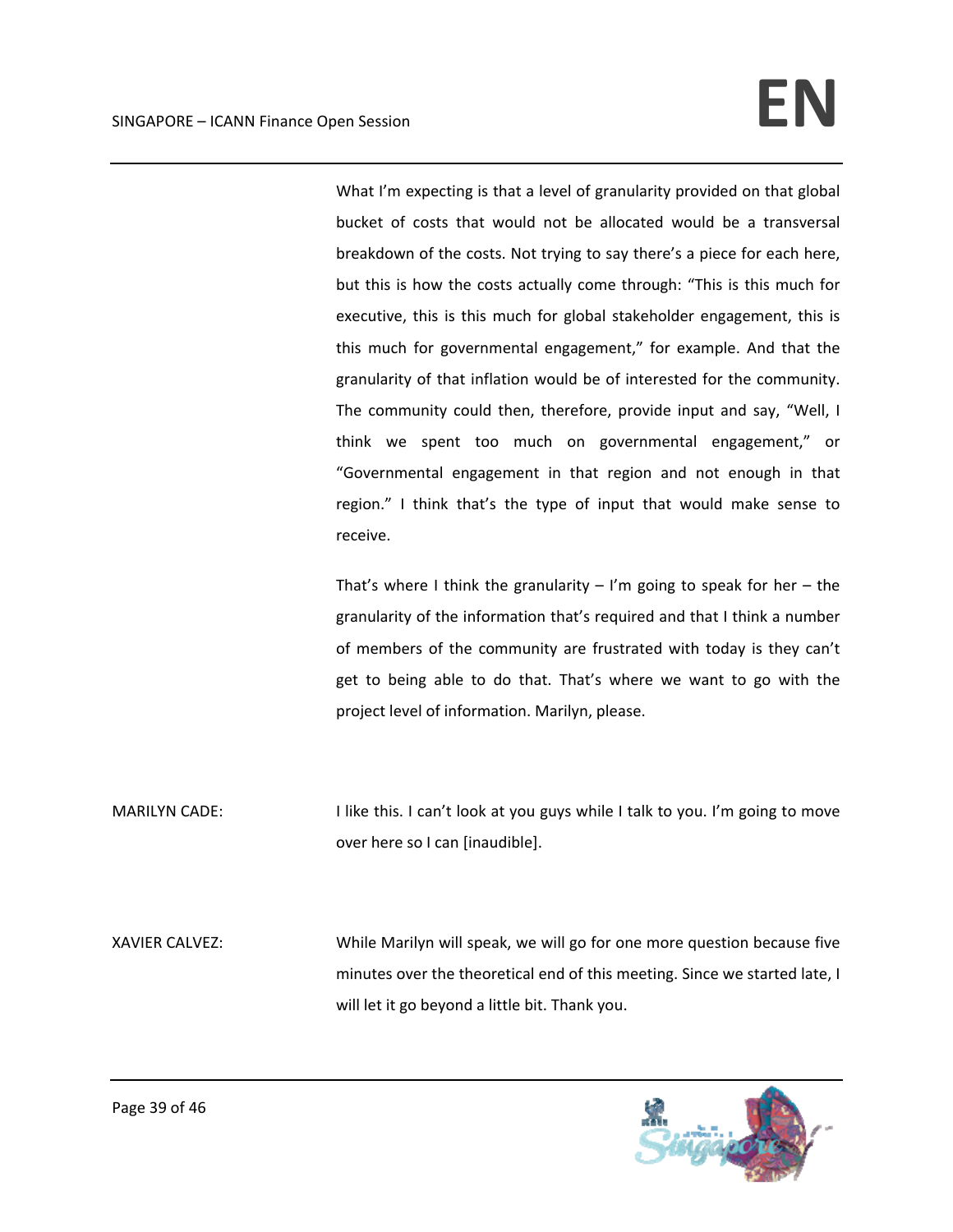What I'm expecting is that a level of granularity provided on that global bucket of costs that would not be allocated would be a transversal breakdown of the costs. Not trying to say there's a piece for each here, but this is how the costs actually come through: "This is this much for executive, this is this much for global stakeholder engagement, this is this much for governmental engagement," for example. And that the granularity of that inflation would be of interested for the community. The community could then, therefore, provide input and say, "Well, I think we spent too much on governmental engagement," or "Governmental engagement in that region and not enough in that region." I think that's the type of input that would make sense to receive.

That's where I think the granularity  $-$  I'm going to speak for her  $-$  the granularity of the information that's required and that I think a number of members of the community are frustrated with today is they can't get to being able to do that. That's where we want to go with the project level of information. Marilyn, please.

MARILYN CADE: I like this. I can't look at you guys while I talk to you. I'm going to move over here so I can [inaudible].

XAVIER CALVEZ: While Marilyn will speak, we will go for one more question because five minutes over the theoretical end of this meeting. Since we started late, I will let it go beyond a little bit. Thank you.

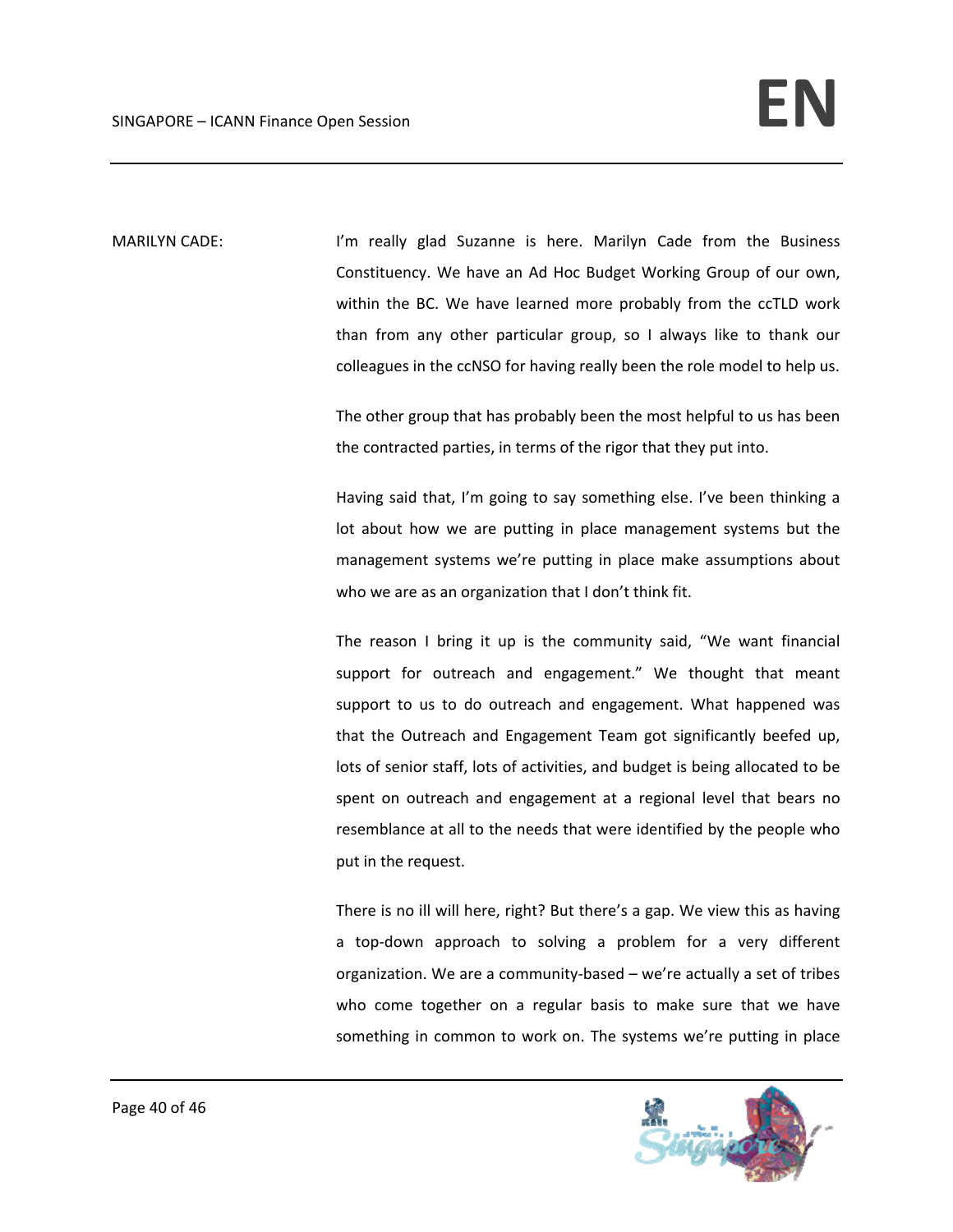MARILYN CADE: I'm really glad Suzanne is here. Marilyn Cade from the Business Constituency. We have an Ad Hoc Budget Working Group of our own, within the BC. We have learned more probably from the ccTLD work than from any other particular group, so I always like to thank our colleagues in the ccNSO for having really been the role model to help us.

> The other group that has probably been the most helpful to us has been the contracted parties, in terms of the rigor that they put into.

> Having said that, I'm going to say something else. I've been thinking a lot about how we are putting in place management systems but the management systems we're putting in place make assumptions about who we are as an organization that I don't think fit.

> The reason I bring it up is the community said, "We want financial support for outreach and engagement." We thought that meant support to us to do outreach and engagement. What happened was that the Outreach and Engagement Team got significantly beefed up, lots of senior staff, lots of activities, and budget is being allocated to be spent on outreach and engagement at a regional level that bears no resemblance at all to the needs that were identified by the people who put in the request.

> There is no ill will here, right? But there's a gap. We view this as having a top-down approach to solving a problem for a very different organization. We are a community‐based – we're actually a set of tribes who come together on a regular basis to make sure that we have something in common to work on. The systems we're putting in place

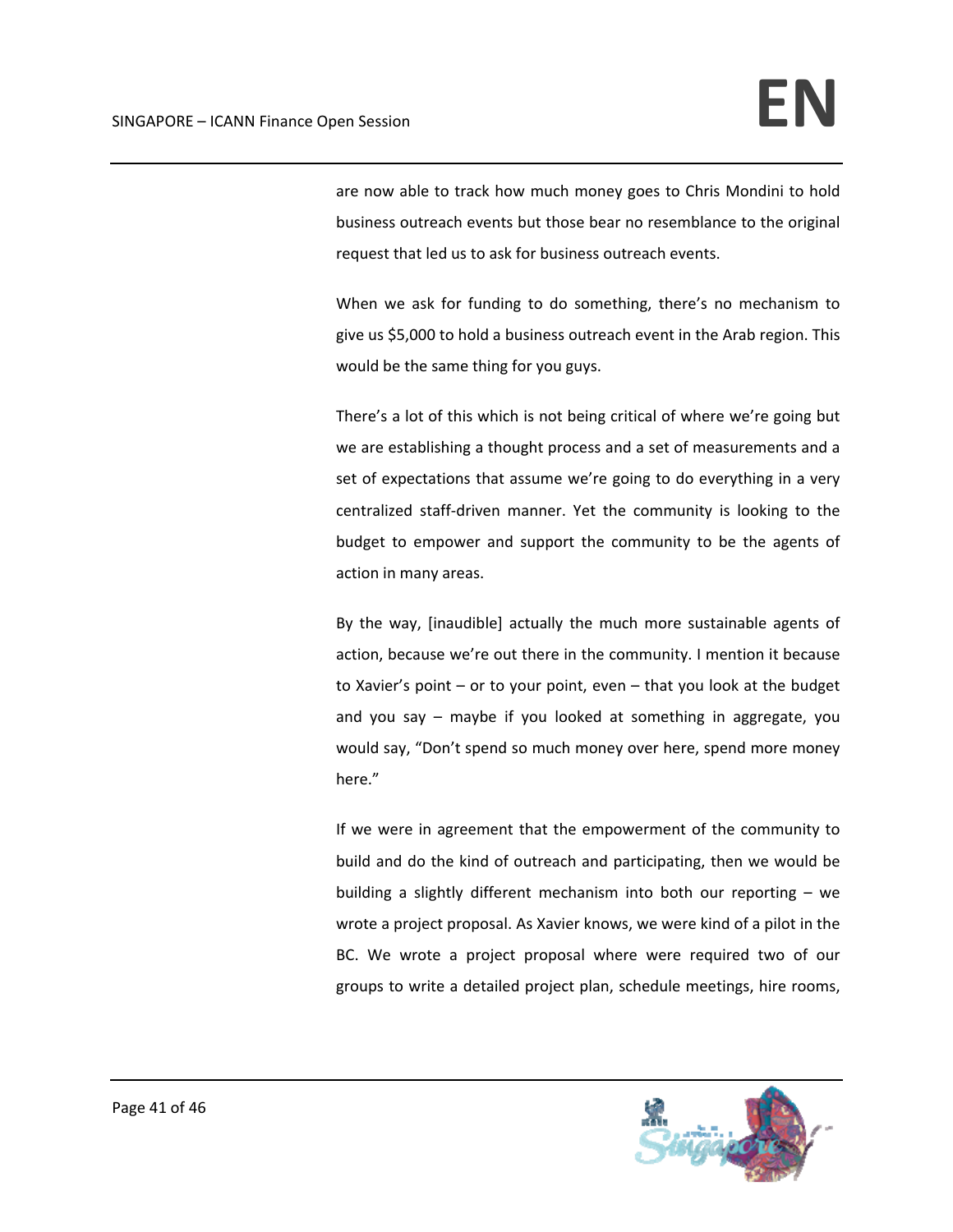are now able to track how much money goes to Chris Mondini to hold business outreach events but those bear no resemblance to the original request that led us to ask for business outreach events.

When we ask for funding to do something, there's no mechanism to give us \$5,000 to hold a business outreach event in the Arab region. This would be the same thing for you guys.

There's a lot of this which is not being critical of where we're going but we are establishing a thought process and a set of measurements and a set of expectations that assume we're going to do everything in a very centralized staff‐driven manner. Yet the community is looking to the budget to empower and support the community to be the agents of action in many areas.

By the way, [inaudible] actually the much more sustainable agents of action, because we're out there in the community. I mention it because to Xavier's point – or to your point, even – that you look at the budget and you say – maybe if you looked at something in aggregate, you would say, "Don't spend so much money over here, spend more money here."

If we were in agreement that the empowerment of the community to build and do the kind of outreach and participating, then we would be building a slightly different mechanism into both our reporting – we wrote a project proposal. As Xavier knows, we were kind of a pilot in the BC. We wrote a project proposal where were required two of our groups to write a detailed project plan, schedule meetings, hire rooms,

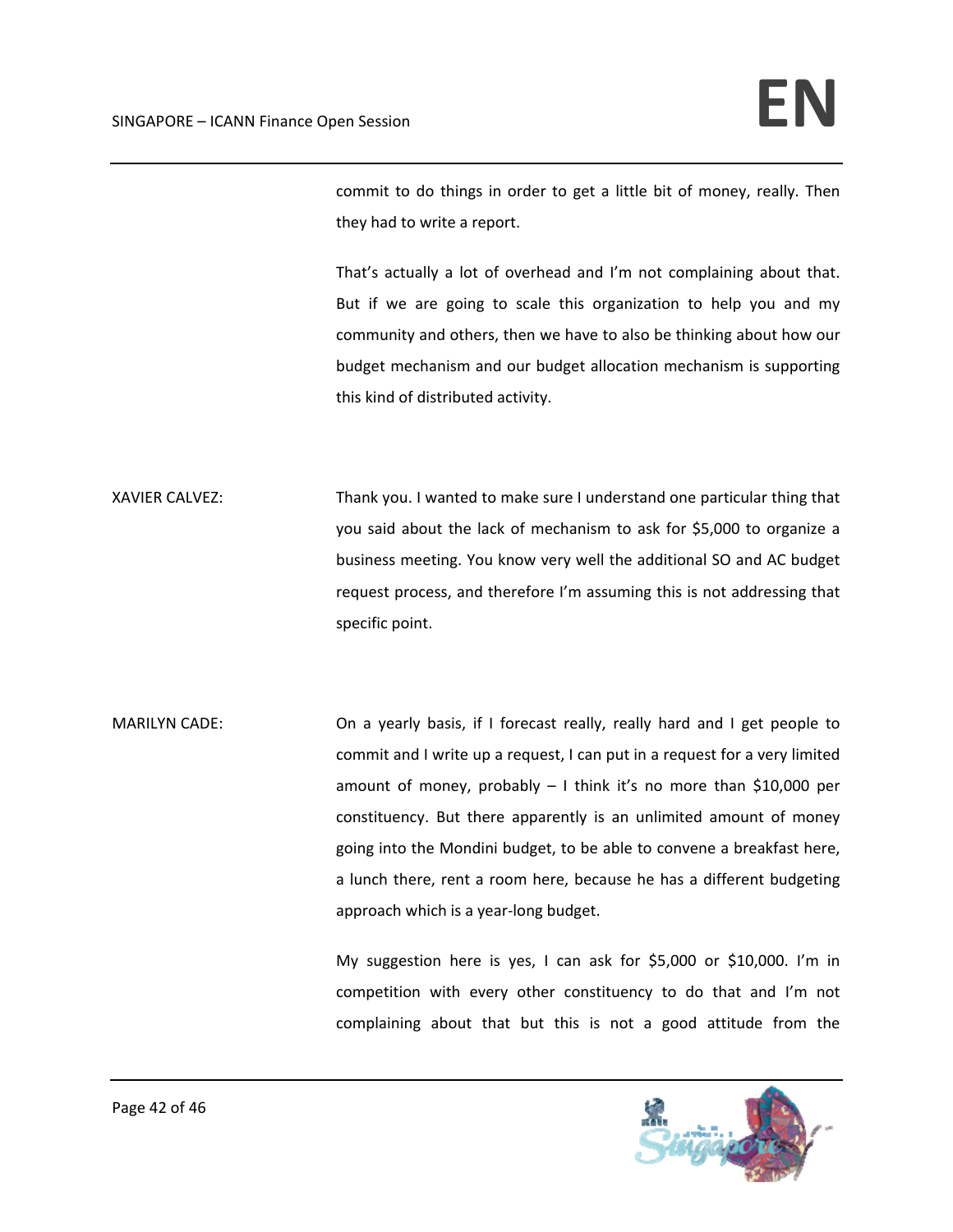commit to do things in order to get a little bit of money, really. Then they had to write a report.

That's actually a lot of overhead and I'm not complaining about that. But if we are going to scale this organization to help you and my community and others, then we have to also be thinking about how our budget mechanism and our budget allocation mechanism is supporting this kind of distributed activity.

XAVIER CALVEZ: Thank you. I wanted to make sure I understand one particular thing that you said about the lack of mechanism to ask for \$5,000 to organize a business meeting. You know very well the additional SO and AC budget request process, and therefore I'm assuming this is not addressing that specific point.

MARILYN CADE: On a yearly basis, if I forecast really, really hard and I get people to commit and I write up a request, I can put in a request for a very limited amount of money, probably – I think it's no more than \$10,000 per constituency. But there apparently is an unlimited amount of money going into the Mondini budget, to be able to convene a breakfast here, a lunch there, rent a room here, because he has a different budgeting approach which is a year‐long budget.

> My suggestion here is yes, I can ask for \$5,000 or \$10,000. I'm in competition with every other constituency to do that and I'm not complaining about that but this is not a good attitude from the

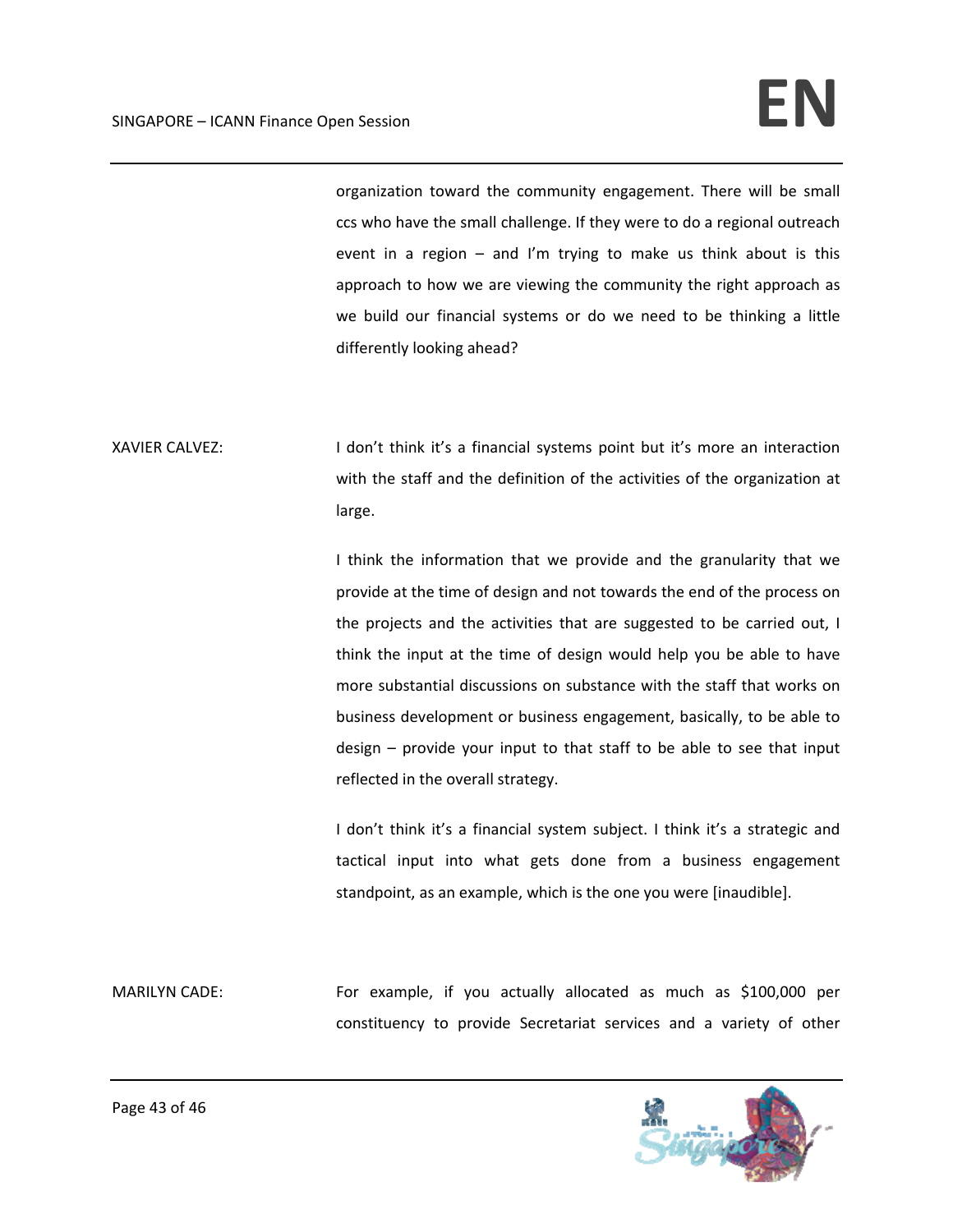organization toward the community engagement. There will be small ccs who have the small challenge. If they were to do a regional outreach event in a region  $-$  and I'm trying to make us think about is this approach to how we are viewing the community the right approach as we build our financial systems or do we need to be thinking a little differently looking ahead?

XAVIER CALVEZ: I don't think it's a financial systems point but it's more an interaction with the staff and the definition of the activities of the organization at large.

> I think the information that we provide and the granularity that we provide at the time of design and not towards the end of the process on the projects and the activities that are suggested to be carried out, I think the input at the time of design would help you be able to have more substantial discussions on substance with the staff that works on business development or business engagement, basically, to be able to design – provide your input to that staff to be able to see that input reflected in the overall strategy.

> I don't think it's a financial system subject. I think it's a strategic and tactical input into what gets done from a business engagement standpoint, as an example, which is the one you were [inaudible].

MARILYN CADE: For example, if you actually allocated as much as \$100,000 per constituency to provide Secretariat services and a variety of other

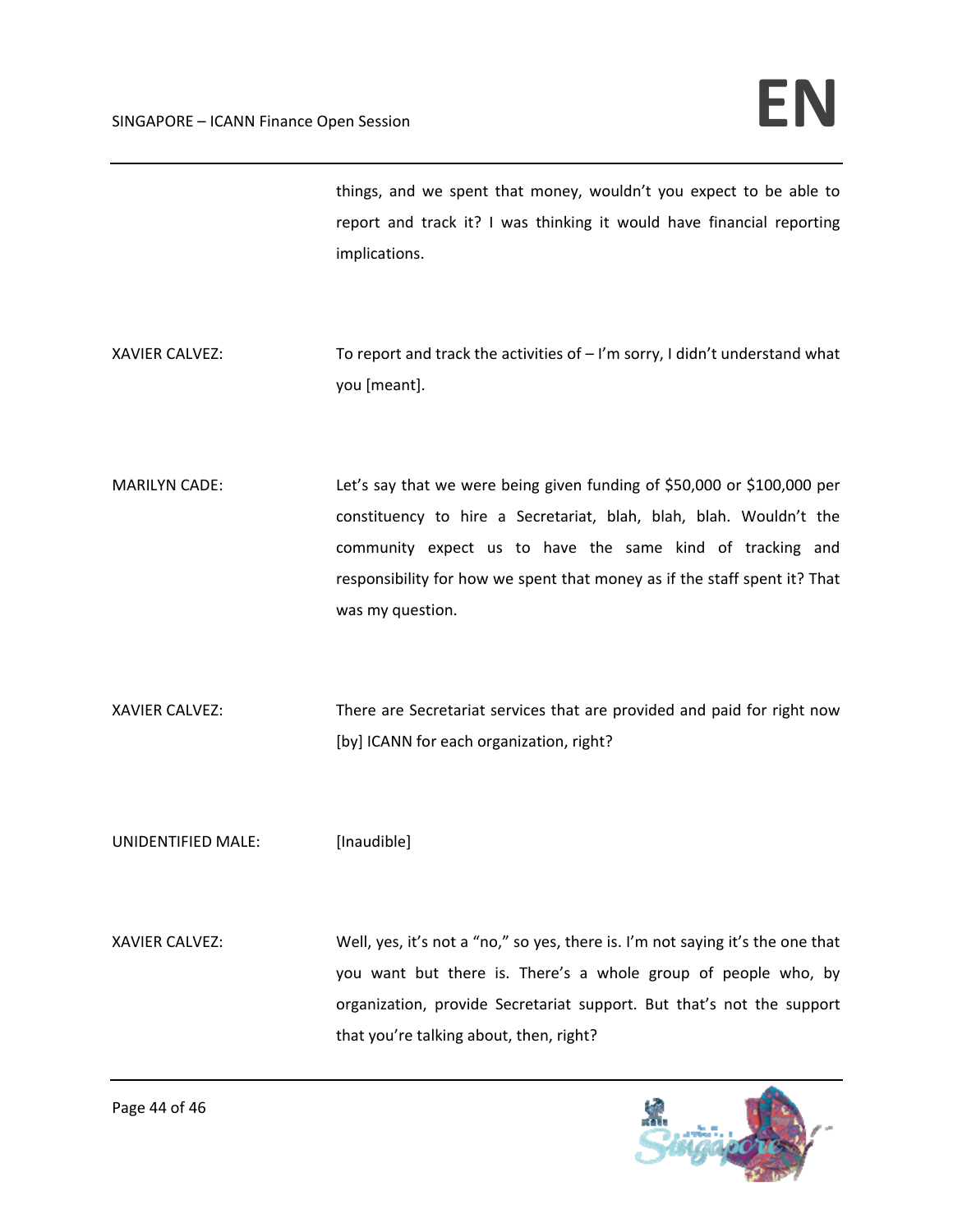things, and we spent that money, wouldn't you expect to be able to report and track it? I was thinking it would have financial reporting implications.

- XAVIER CALVEZ: To report and track the activities of  $-1'm$  sorry, I didn't understand what you [meant].
- MARILYN CADE: Let's say that we were being given funding of \$50,000 or \$100,000 per constituency to hire a Secretariat, blah, blah, blah. Wouldn't the community expect us to have the same kind of tracking and responsibility for how we spent that money as if the staff spent it? That was my question.

XAVIER CALVEZ: There are Secretariat services that are provided and paid for right now [by] ICANN for each organization, right?

UNIDENTIFIED MALE: [Inaudible]

XAVIER CALVEZ: Well, yes, it's not a "no," so yes, there is. I'm not saying it's the one that you want but there is. There's a whole group of people who, by organization, provide Secretariat support. But that's not the support that you're talking about, then, right?

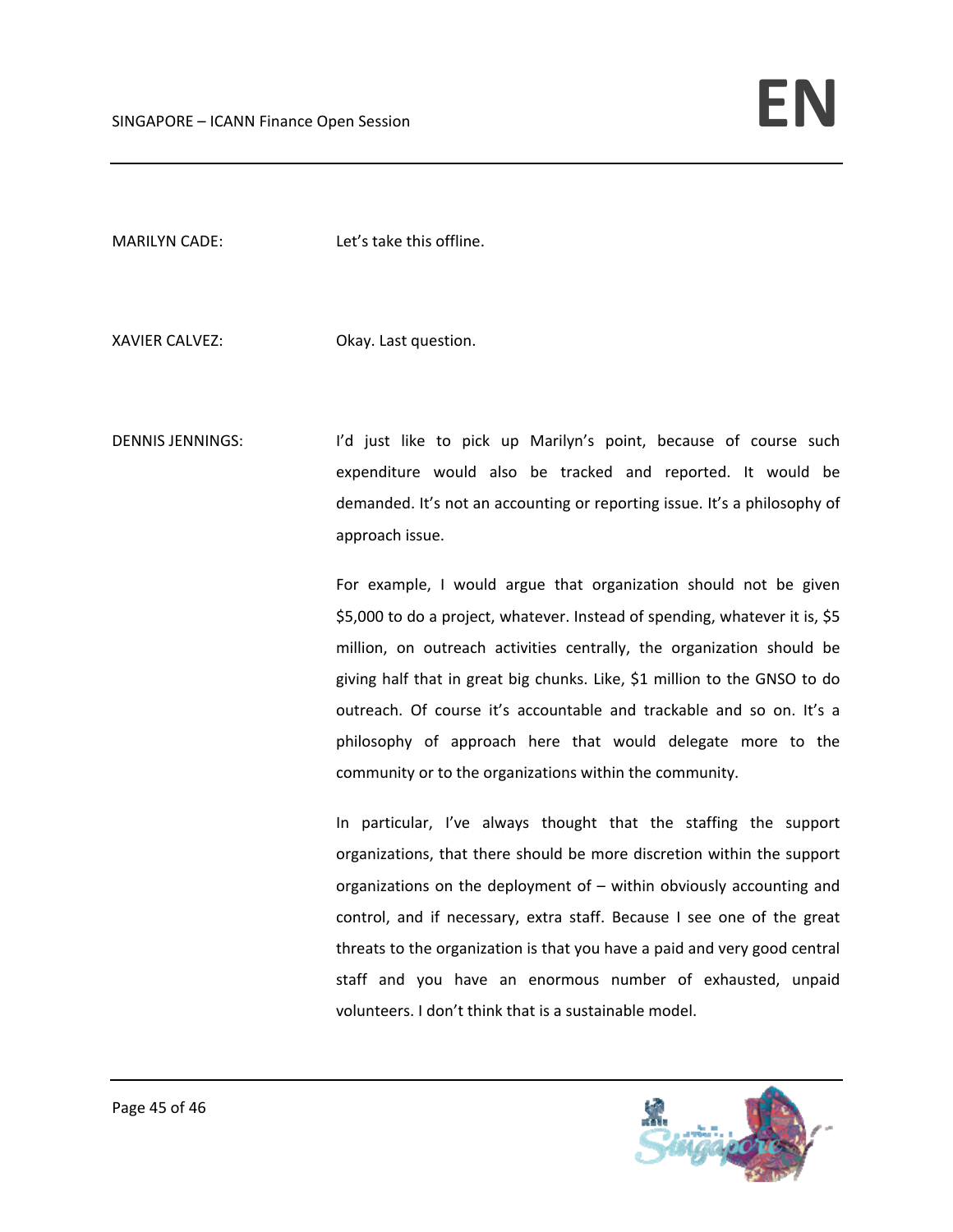MARILYN CADE: Let's take this offline.

XAVIER CALVEZ: Okay. Last question.

DENNIS JENNINGS: I'd just like to pick up Marilyn's point, because of course such expenditure would also be tracked and reported. It would be demanded. It's not an accounting or reporting issue. It's a philosophy of approach issue.

> For example, I would argue that organization should not be given \$5,000 to do a project, whatever. Instead of spending, whatever it is, \$5 million, on outreach activities centrally, the organization should be giving half that in great big chunks. Like, \$1 million to the GNSO to do outreach. Of course it's accountable and trackable and so on. It's a philosophy of approach here that would delegate more to the community or to the organizations within the community.

> In particular, I've always thought that the staffing the support organizations, that there should be more discretion within the support organizations on the deployment of – within obviously accounting and control, and if necessary, extra staff. Because I see one of the great threats to the organization is that you have a paid and very good central staff and you have an enormous number of exhausted, unpaid volunteers. I don't think that is a sustainable model.